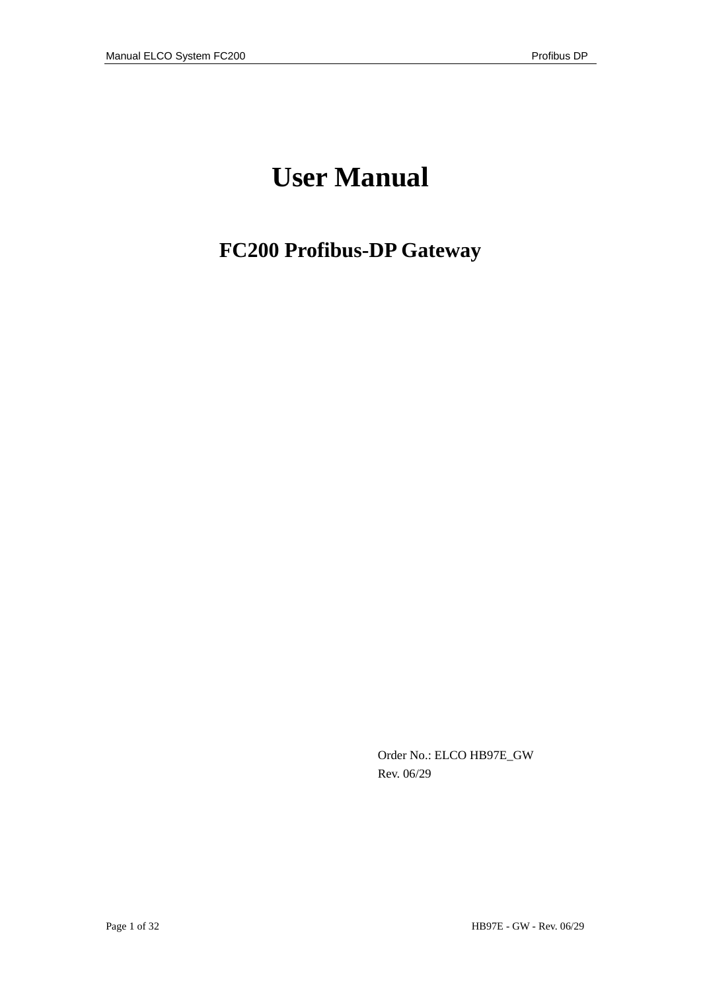# **User Manual**

## **FC200 Profibus-DP Gateway**

Order No.: ELCO HB97E\_GW Rev. 06/29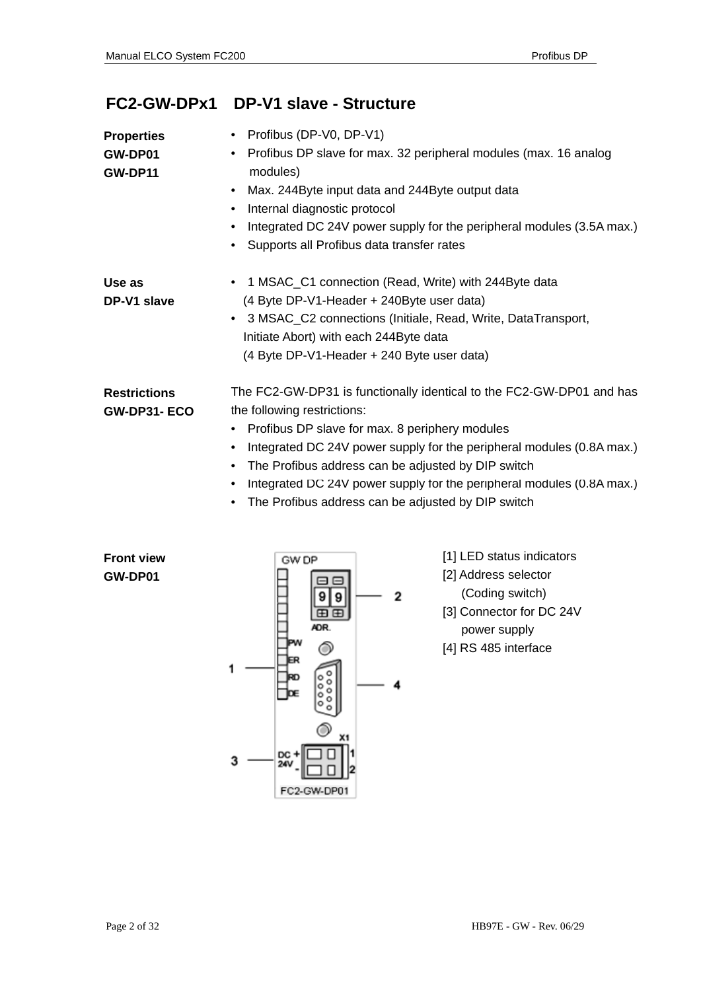## **FC2-GW-DPx1 DP-V1 slave - Structure**

| <b>Properties</b><br>GW-DP01<br><b>GW-DP11</b> | • Profibus (DP-V0, DP-V1)<br>Profibus DP slave for max. 32 peripheral modules (max. 16 analog<br>$\bullet$<br>modules)<br>Max. 244Byte input data and 244Byte output data<br>٠<br>Internal diagnostic protocol<br>$\bullet$<br>Integrated DC 24V power supply for the peripheral modules (3.5A max.)<br>Supports all Profibus data transfer rates<br>$\bullet$                                                                                          |
|------------------------------------------------|---------------------------------------------------------------------------------------------------------------------------------------------------------------------------------------------------------------------------------------------------------------------------------------------------------------------------------------------------------------------------------------------------------------------------------------------------------|
| Use as<br>DP-V1 slave                          | 1 MSAC_C1 connection (Read, Write) with 244Byte data<br>(4 Byte DP-V1-Header + 240Byte user data)<br>3 MSAC_C2 connections (Initiale, Read, Write, DataTransport,<br>Initiate Abort) with each 244Byte data<br>(4 Byte DP-V1-Header + 240 Byte user data)                                                                                                                                                                                               |
| <b>Restrictions</b><br><b>GW-DP31-ECO</b>      | The FC2-GW-DP31 is functionally identical to the FC2-GW-DP01 and has<br>the following restrictions:<br>Profibus DP slave for max. 8 periphery modules<br>$\bullet$<br>Integrated DC 24V power supply for the peripheral modules (0.8A max.)<br>٠<br>The Profibus address can be adjusted by DIP switch<br>$\bullet$<br>Integrated DC 24V power supply for the peripheral modules (0.8A max.)<br>٠<br>The Profibus address can be adjusted by DIP switch |

**Front view Front view GW-DP01 Front view GW-DP01** 



[1] LED status indicators

[2] Address selector

(Coding switch)

[3] Connector for DC 24V

power supply

[4] RS 485 interface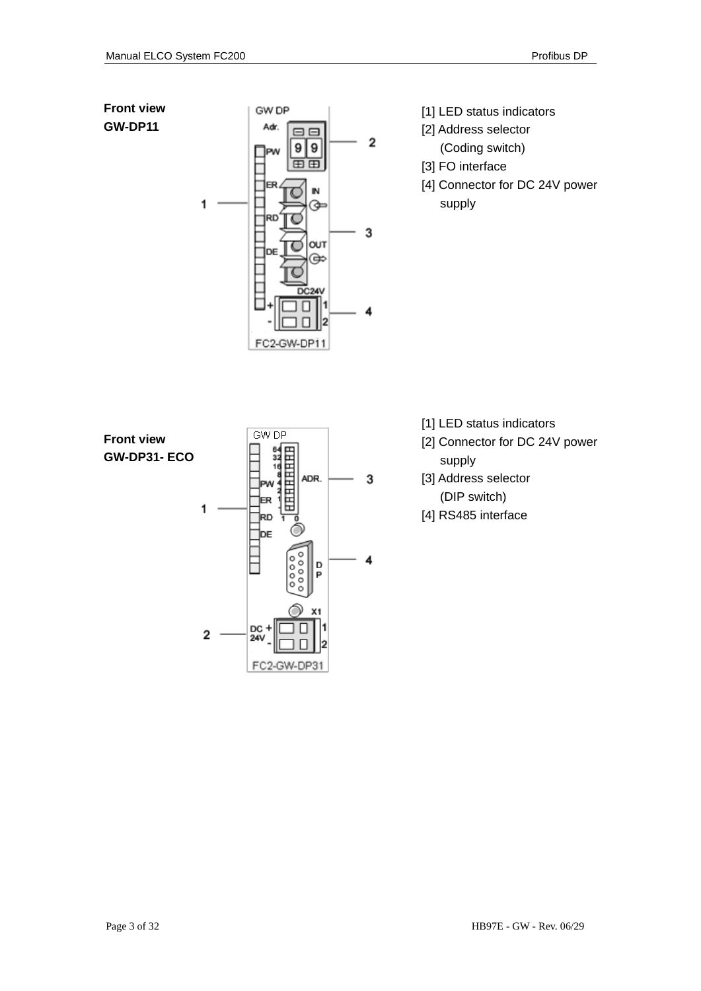**Front view GW-DP11** 



- [1] LED status indicators
- [2] Address selector
	- (Coding switch)
- [3] FO interface
- [4] Connector for DC 24V power supply



- [1] LED status indicators
- [2] Connector for DC 24V power supply
- [3] Address selector (DIP switch)
- [4] RS485 interface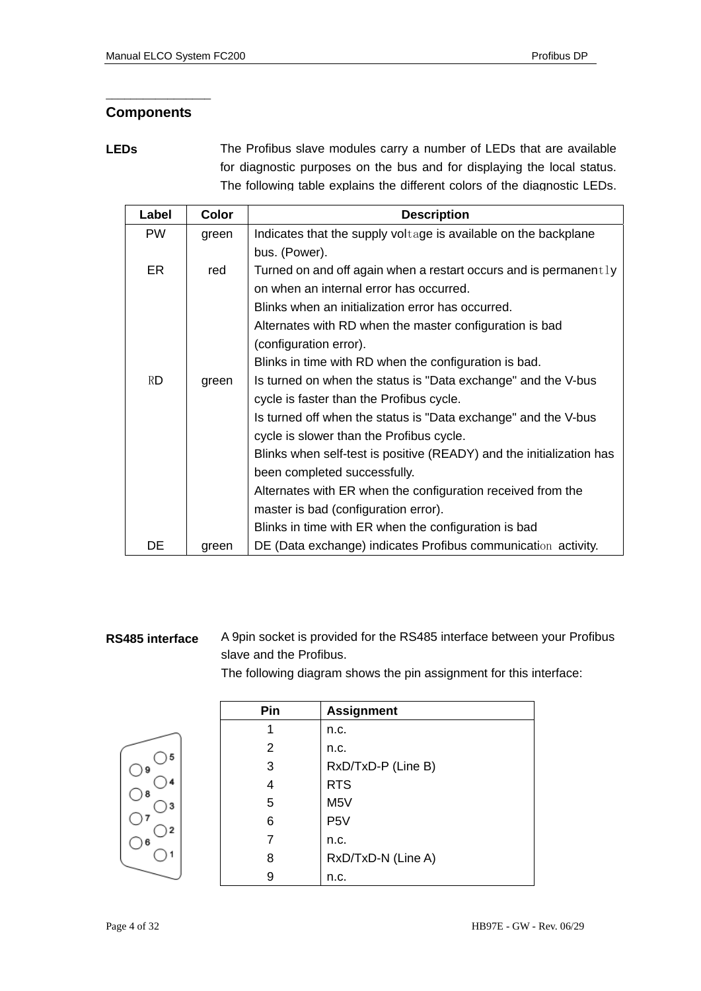### **Components**

\_\_\_\_\_\_\_\_\_\_\_\_\_\_\_\_\_

**LEDs** The Profibus slave modules carry a number of LEDs that are available for diagnostic purposes on the bus and for displaying the local status. The following table explains the different colors of the diagnostic LEDs.

| Label     | <b>Color</b> | <b>Description</b>                                                   |  |
|-----------|--------------|----------------------------------------------------------------------|--|
| <b>PW</b> | green        | Indicates that the supply voltage is available on the backplane      |  |
|           |              | bus. (Power).                                                        |  |
| ER.       | red          | Turned on and off again when a restart occurs and is permanent $1y$  |  |
|           |              | on when an internal error has occurred.                              |  |
|           |              | Blinks when an initialization error has occurred.                    |  |
|           |              | Alternates with RD when the master configuration is bad              |  |
|           |              | (configuration error).                                               |  |
|           |              | Blinks in time with RD when the configuration is bad.                |  |
| <b>RD</b> | green        | Is turned on when the status is "Data exchange" and the V-bus        |  |
|           |              | cycle is faster than the Profibus cycle.                             |  |
|           |              | Is turned off when the status is "Data exchange" and the V-bus       |  |
|           |              | cycle is slower than the Profibus cycle.                             |  |
|           |              | Blinks when self-test is positive (READY) and the initialization has |  |
|           |              | been completed successfully.                                         |  |
|           |              | Alternates with ER when the configuration received from the          |  |
|           |              | master is bad (configuration error).                                 |  |
|           |              | Blinks in time with ER when the configuration is bad                 |  |
| DE        | green        | DE (Data exchange) indicates Profibus communication activity.        |  |

### **RS485 interface**

A 9pin socket is provided for the RS485 interface between your Profibus slave and the Profibus.

The following diagram shows the pin assignment for this interface:



| Pin | <b>Assignment</b>  |
|-----|--------------------|
| 1   | n.c.               |
| 2   | n.c.               |
| 3   | RxD/TxD-P (Line B) |
| 4   | <b>RTS</b>         |
| 5   | M <sub>5</sub> V   |
| 6   | P <sub>5</sub> V   |
| 7   | n.c.               |
| 8   | RxD/TxD-N (Line A) |
| 9   | n.c.               |
|     |                    |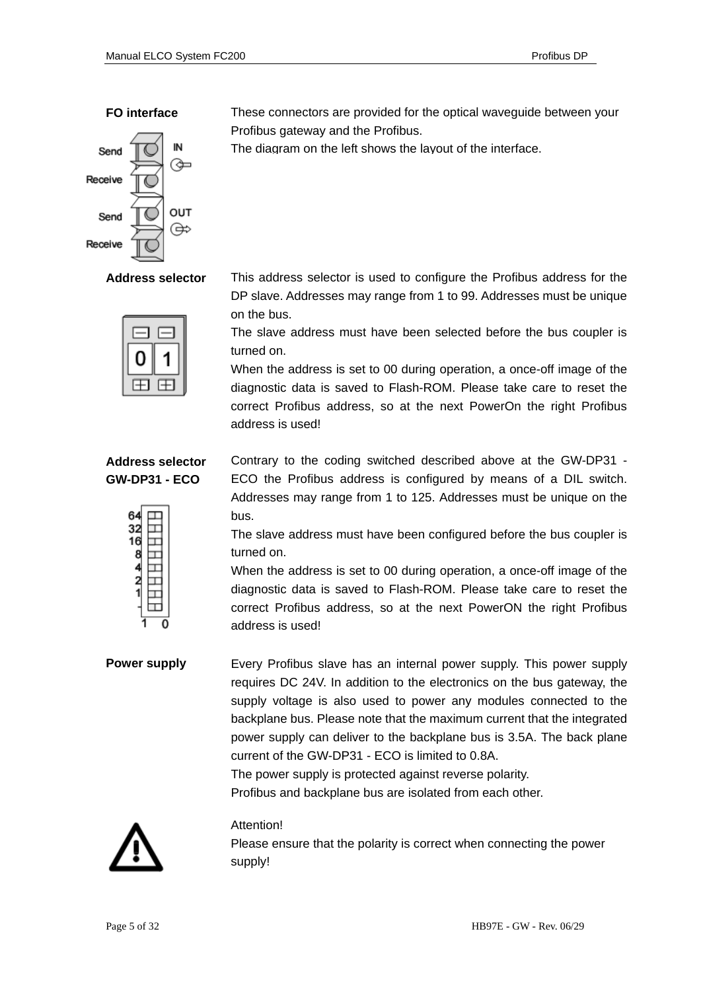### **FO interface**



**Address selector**



### **Address selector GW-DP31 - ECO**



These connectors are provided for the optical waveguide between your Profibus gateway and the Profibus.

The diagram on the left shows the layout of the interface.

This address selector is used to configure the Profibus address for the DP slave. Addresses may range from 1 to 99. Addresses must be unique on the bus.

The slave address must have been selected before the bus coupler is turned on.

When the address is set to 00 during operation, a once-off image of the diagnostic data is saved to Flash-ROM. Please take care to reset the correct Profibus address, so at the next PowerOn the right Profibus address is used!

Contrary to the coding switched described above at the GW-DP31 - ECO the Profibus address is configured by means of a DIL switch. Addresses may range from 1 to 125. Addresses must be unique on the bus.

The slave address must have been configured before the bus coupler is turned on.

When the address is set to 00 during operation, a once-off image of the diagnostic data is saved to Flash-ROM. Please take care to reset the correct Profibus address, so at the next PowerON the right Profibus address is used!

Every Profibus slave has an internal power supply. This power supply requires DC 24V. In addition to the electronics on the bus gateway, the supply voltage is also used to power any modules connected to the backplane bus. Please note that the maximum current that the integrated power supply can deliver to the backplane bus is 3.5A. The back plane current of the GW-DP31 - ECO is limited to 0.8A. The power supply is protected against reverse polarity. **Power supply**

Profibus and backplane bus are isolated from each other.



### Attention!

Please ensure that the polarity is correct when connecting the power supply!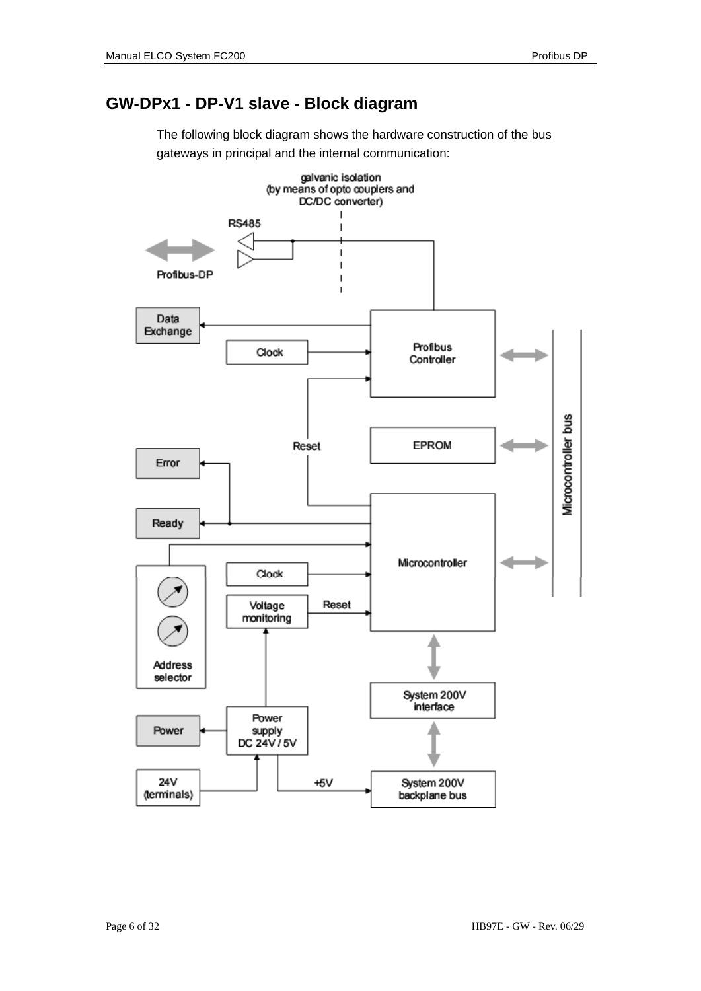## **GW-DPx1 - DP-V1 slave - Block diagram**

The following block diagram shows the hardware construction of the bus gateways in principal and the internal communication:

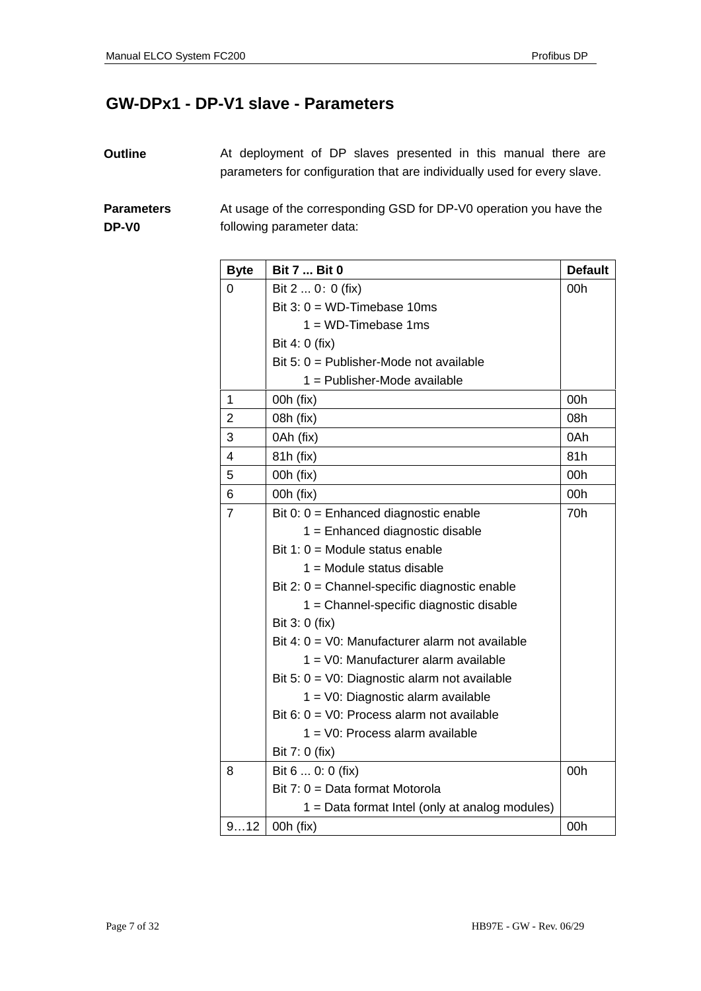## **GW-DPx1 - DP-V1 slave - Parameters**

At deployment of DP slaves presented in this manual there are parameters for configuration that are individually used for every slave. **Outline** 

At usage of the corresponding GSD for DP-V0 operation you have the following parameter data: **Parameters DP-V0** 

| <b>Byte</b>    | <b>Bit 7  Bit 0</b>                                      | <b>Default</b> |
|----------------|----------------------------------------------------------|----------------|
| 0              | Bit 2  0: 0 (fix)                                        | 00h            |
|                | Bit $3: 0 = WD$ -Timebase 10ms                           |                |
|                | $1 = WD$ -Timebase 1ms                                   |                |
|                | Bit 4: 0 (fix)                                           |                |
|                | Bit 5: $0 =$ Publisher-Mode not available                |                |
|                | 1 = Publisher-Mode available                             |                |
| $\mathbf{1}$   | 00h (fix)                                                | 00h            |
| $\overline{2}$ | 08h (fix)                                                | 08h            |
| 3              | 0Ah (fix)                                                | 0Ah            |
| 4              | 81h (fix)                                                | 81h            |
| 5              | 00h (fix)                                                | 00h            |
| 6              | 00h (fix)                                                | 00h            |
| $\overline{7}$ | Bit 0: $0 =$ Enhanced diagnostic enable                  | 70h            |
|                | $1 =$ Enhanced diagnostic disable                        |                |
|                | Bit 1: $0 =$ Module status enable                        |                |
|                | $1 =$ Module status disable                              |                |
|                | Bit 2: $0 =$ Channel-specific diagnostic enable          |                |
|                | 1 = Channel-specific diagnostic disable                  |                |
|                | Bit 3: 0 (fix)                                           |                |
|                | Bit 4: $0 = \sqrt{0}$ : Manufacturer alarm not available |                |
|                | 1 = V0: Manufacturer alarm available                     |                |
|                | Bit 5: $0 = \sqrt{0}$ : Diagnostic alarm not available   |                |
|                | 1 = V0: Diagnostic alarm available                       |                |
|                | Bit 6: $0 = \sqrt{0}$ : Process alarm not available      |                |
|                | 1 = V0: Process alarm available                          |                |
|                | Bit 7: 0 (fix)                                           |                |
| 8              | Bit 6  0: 0 (fix)                                        | 00h            |
|                | Bit $7: 0 = Data format Motorola$                        |                |
|                | 1 = Data format Intel (only at analog modules)           |                |
| 912            | 00h (fix)                                                | 00h            |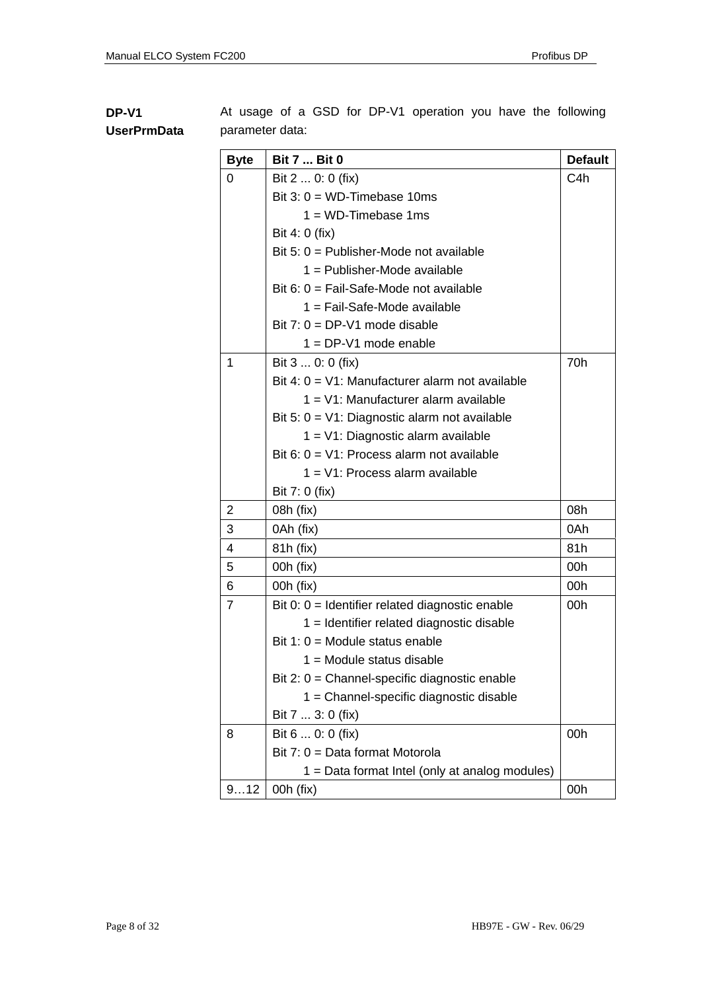### **DP-V1 UserPrmData**

At usage of a GSD for DP-V1 operation you have the following parameter data:

| <b>Byte</b>    | <b>Bit 7  Bit 0</b>                                | <b>Default</b> |
|----------------|----------------------------------------------------|----------------|
| 0              | Bit 2  0: 0 (fix)                                  | C4h            |
|                | Bit $3: 0 = WD$ -Timebase 10ms                     |                |
|                | $1 = WD$ -Timebase 1ms                             |                |
|                | Bit 4: 0 (fix)                                     |                |
|                | Bit 5: $0 =$ Publisher-Mode not available          |                |
|                | 1 = Publisher-Mode available                       |                |
|                | Bit 6: $0 =$ Fail-Safe-Mode not available          |                |
|                | 1 = Fail-Safe-Mode available                       |                |
|                | Bit $7: 0 = DP-V1$ mode disable                    |                |
|                | $1 = DP-V1$ mode enable                            |                |
| 1              | Bit 3  0: 0 (fix)                                  | 70h            |
|                | Bit 4: $0 = V1$ : Manufacturer alarm not available |                |
|                | 1 = V1: Manufacturer alarm available               |                |
|                | Bit 5: $0 = V1$ : Diagnostic alarm not available   |                |
|                | $1 = V1$ : Diagnostic alarm available              |                |
|                | Bit 6: $0 = V1$ : Process alarm not available      |                |
|                | 1 = V1: Process alarm available                    |                |
|                | Bit 7: 0 (fix)                                     |                |
| 2              | 08h (fix)                                          | 08h            |
| 3              | 0Ah (fix)                                          | 0Ah            |
| 4              | 81h (fix)                                          | 81h            |
| 5              | 00h (fix)                                          | 00h            |
| 6              | 00h (fix)                                          | 00h            |
| $\overline{7}$ | Bit $0: 0 =$ Identifier related diagnostic enable  | 00h            |
|                | 1 = Identifier related diagnostic disable          |                |
|                | Bit 1: $0 =$ Module status enable                  |                |
|                | $1 =$ Module status disable                        |                |
|                | Bit 2: 0 = Channel-specific diagnostic enable      |                |
|                | 1 = Channel-specific diagnostic disable            |                |
|                | Bit 7  3: 0 (fix)                                  |                |
| 8              | Bit 6  0: 0 (fix)                                  | 00h            |
|                | Bit $7: 0 = Data format Motorola$                  |                |
|                | 1 = Data format Intel (only at analog modules)     |                |
| 912            | 00h (fix)                                          | 00h            |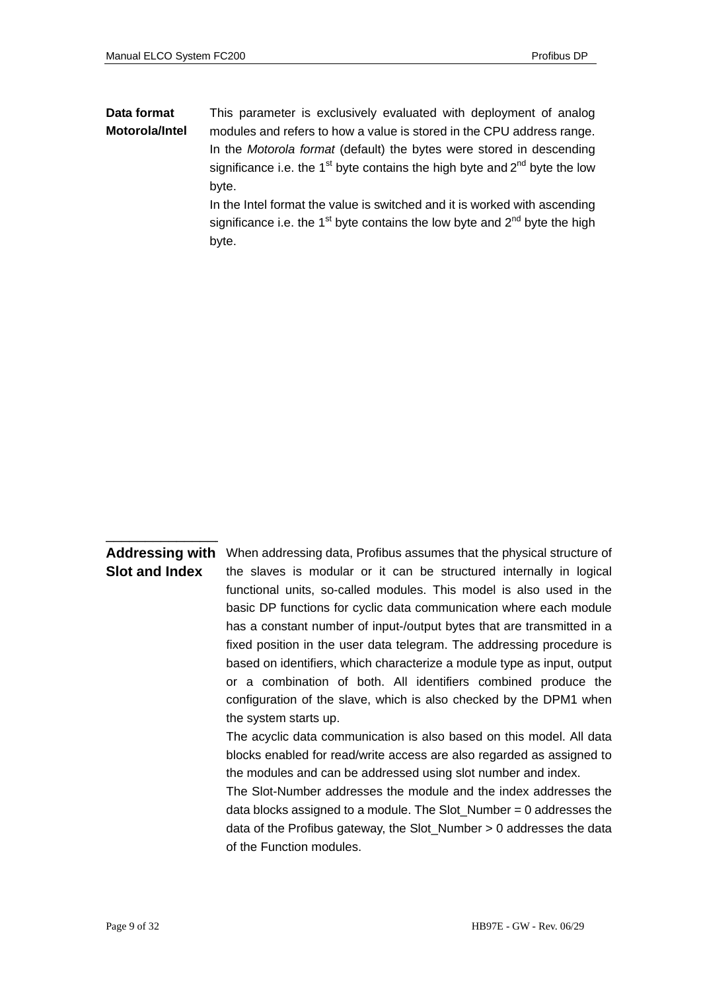### This parameter is exclusively evaluated with deployment of analog modules and refers to how a value is stored in the CPU address range. In the *Motorola format* (default) the bytes were stored in descending significance i.e. the  $1<sup>st</sup>$  byte contains the high byte and  $2<sup>nd</sup>$  byte the low byte. **Data format Motorola/Intel**

In the Intel format the value is switched and it is worked with ascending significance i.e. the  $1<sup>st</sup>$  byte contains the low byte and  $2<sup>nd</sup>$  byte the high byte.

### **Addressing with Slot and Index**

 $\frac{1}{2}$  ,  $\frac{1}{2}$  ,  $\frac{1}{2}$  ,  $\frac{1}{2}$  ,  $\frac{1}{2}$  ,  $\frac{1}{2}$  ,  $\frac{1}{2}$  ,  $\frac{1}{2}$  ,  $\frac{1}{2}$  ,  $\frac{1}{2}$  ,  $\frac{1}{2}$  ,  $\frac{1}{2}$  ,  $\frac{1}{2}$  ,  $\frac{1}{2}$  ,  $\frac{1}{2}$  ,  $\frac{1}{2}$  ,  $\frac{1}{2}$  ,  $\frac{1}{2}$  ,  $\frac{1$ 

When addressing data, Profibus assumes that the physical structure of the slaves is modular or it can be structured internally in logical functional units, so-called modules. This model is also used in the basic DP functions for cyclic data communication where each module has a constant number of input-/output bytes that are transmitted in a fixed position in the user data telegram. The addressing procedure is based on identifiers, which characterize a module type as input, output or a combination of both. All identifiers combined produce the configuration of the slave, which is also checked by the DPM1 when the system starts up.

The acyclic data communication is also based on this model. All data blocks enabled for read/write access are also regarded as assigned to the modules and can be addressed using slot number and index.

The Slot-Number addresses the module and the index addresses the data blocks assigned to a module. The Slot  $N$ umber = 0 addresses the data of the Profibus gateway, the Slot\_Number > 0 addresses the data of the Function modules.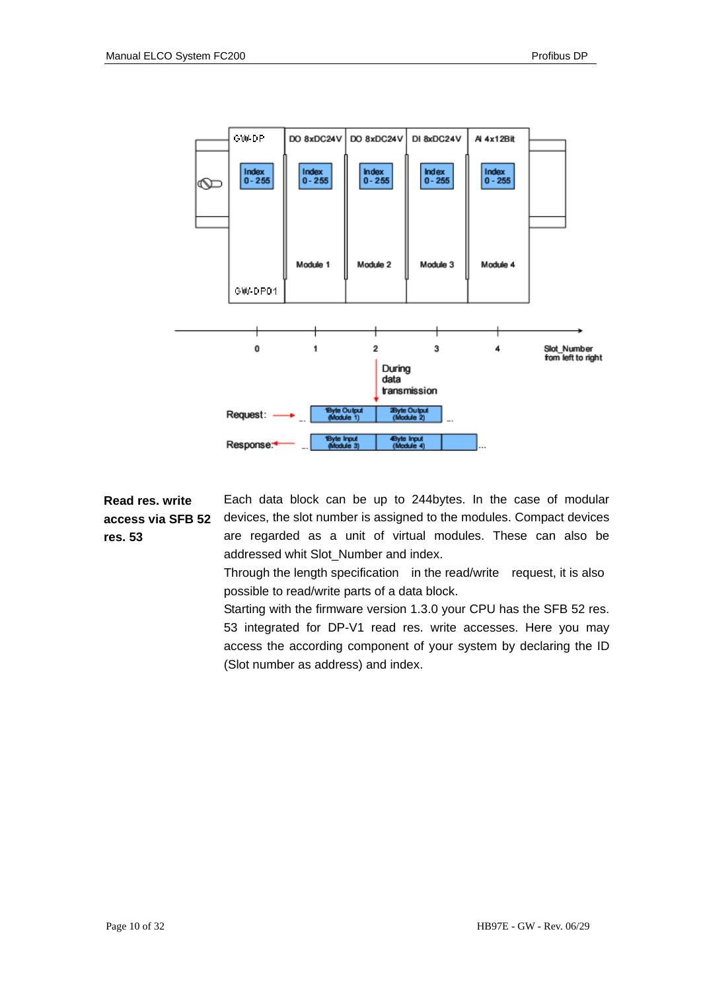

**Read res. write access via SFB 52 res. 53** 

Each data block can be up to 244bytes. In the case of modular devices, the slot number is assigned to the modules. Compact devices are regarded as a unit of virtual modules. These can also be addressed whit Slot\_Number and index.

Through the length specification in the read/write request, it is also possible to read/write parts of a data block.

Starting with the firmware version 1.3.0 your CPU has the SFB 52 res. 53 integrated for DP-V1 read res. write accesses. Here you may access the according component of your system by declaring the ID (Slot number as address) and index.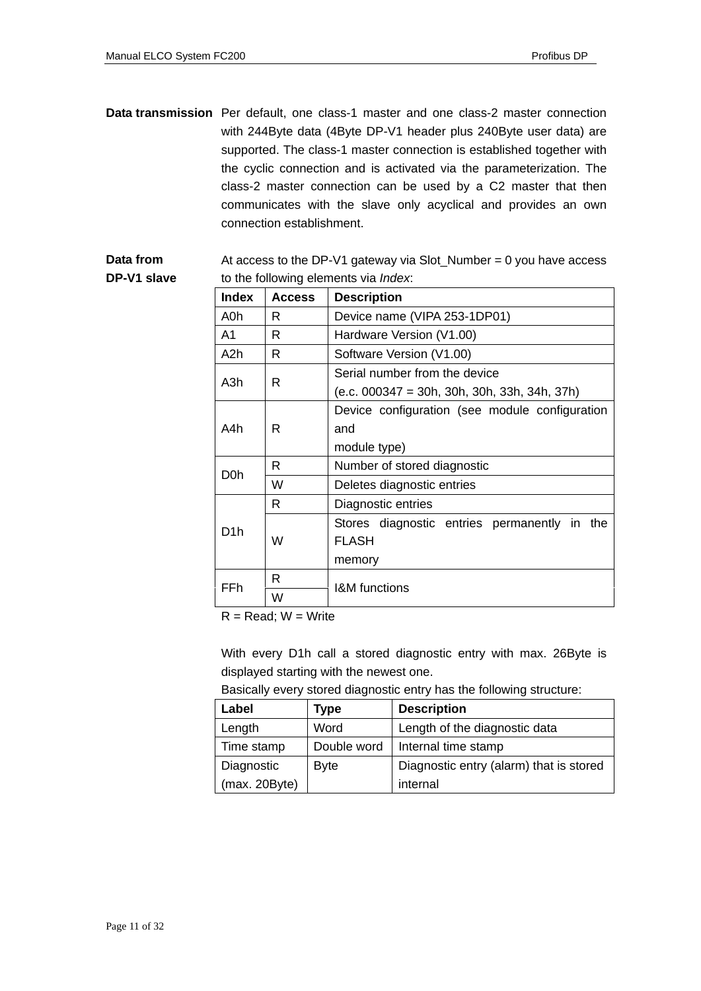Data transmission Per default, one class-1 master and one class-2 master connection with 244Byte data (4Byte DP-V1 header plus 240Byte user data) are supported. The class-1 master connection is established together with the cyclic connection and is activated via the parameterization. The class-2 master connection can be used by a C2 master that then communicates with the slave only acyclical and provides an own connection establishment.

**Data from DP-V1 slave**  At access to the DP-V1 gateway via Slot\_Number =  $0$  you have access to the following elements via *Index*:

| <b>Index</b>     | <b>Access</b> | <b>Description</b>                              |  |  |  |
|------------------|---------------|-------------------------------------------------|--|--|--|
| A0h              | R             | Device name (VIPA 253-1DP01)                    |  |  |  |
| A1               | R             | Hardware Version (V1.00)                        |  |  |  |
| A <sub>2</sub> h | R             | Software Version (V1.00)                        |  |  |  |
|                  |               | Serial number from the device                   |  |  |  |
| A <sub>3</sub> h | R             | $(e.c. 000347 = 30h, 30h, 30h, 33h, 34h, 37h)$  |  |  |  |
|                  |               | Device configuration (see module configuration  |  |  |  |
| A4h              | R             | and                                             |  |  |  |
|                  |               | module type)                                    |  |  |  |
| D0h              | R             | Number of stored diagnostic                     |  |  |  |
|                  | W             | Deletes diagnostic entries                      |  |  |  |
|                  | R             | Diagnostic entries                              |  |  |  |
| D1h              |               | Stores diagnostic entries permanently in<br>the |  |  |  |
|                  | W             | <b>FLASH</b>                                    |  |  |  |
|                  |               | memory                                          |  |  |  |
| FFh              | R             | <b>I&amp;M</b> functions                        |  |  |  |
|                  | W             |                                                 |  |  |  |

 $R = Read$ :  $W = Write$ 

With every D1h call a stored diagnostic entry with max. 26Byte is displayed starting with the newest one.

|  | Basically every stored diagnostic entry has the following structure: |
|--|----------------------------------------------------------------------|
|  |                                                                      |

| Label         | <b>Type</b> | <b>Description</b>                      |
|---------------|-------------|-----------------------------------------|
| Length        | Word        | Length of the diagnostic data           |
| Time stamp    | Double word | Internal time stamp                     |
| Diagnostic    | <b>Byte</b> | Diagnostic entry (alarm) that is stored |
| (max. 20Byte) |             | internal                                |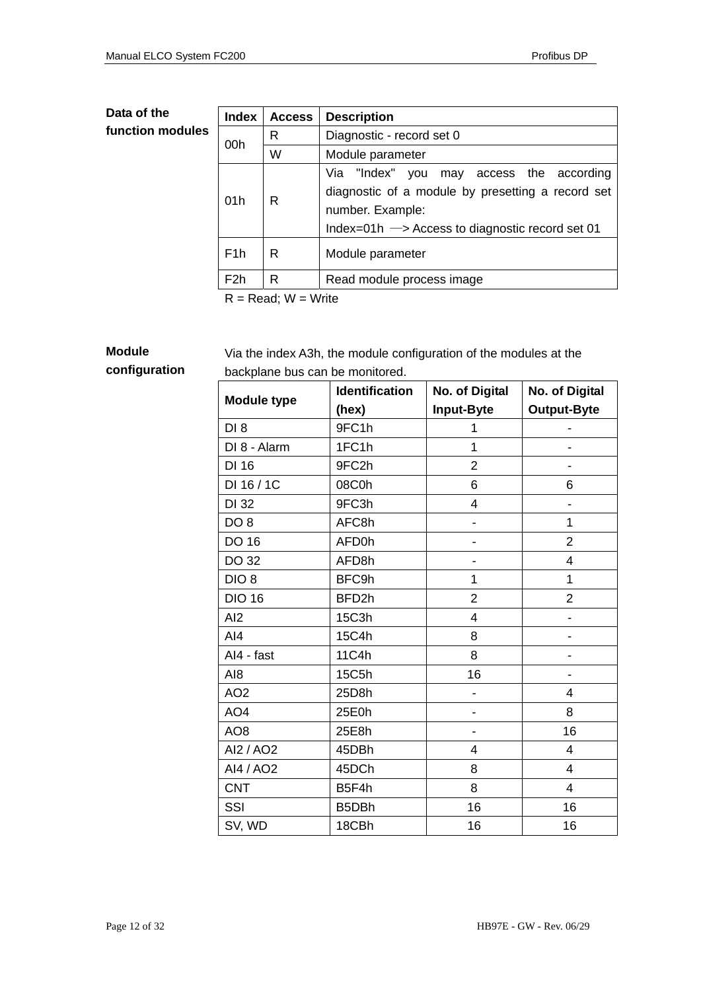### **Data of the function modules**

| <b>Index</b>     | <b>Access</b>                        | <b>Description</b>                                                                                                                                                                 |  |
|------------------|--------------------------------------|------------------------------------------------------------------------------------------------------------------------------------------------------------------------------------|--|
|                  | R                                    | Diagnostic - record set 0                                                                                                                                                          |  |
| 00h              | W                                    | Module parameter                                                                                                                                                                   |  |
| 01h              | R                                    | Via "Index" you<br>may access the according<br>diagnostic of a module by presetting a record set<br>number. Example:<br>Index=01h $\rightarrow$ Access to diagnostic record set 01 |  |
| F <sub>1</sub> h | R                                    | Module parameter                                                                                                                                                                   |  |
| F <sub>2</sub> h | R                                    | Read module process image                                                                                                                                                          |  |
|                  | $D = D \circ d \cdot M = M \circ id$ |                                                                                                                                                                                    |  |

 $R = Read$ ;  $W = Write$ 

**Module** 

**configuration** 

Via the index A3h, the module configuration of the modules at the backplane bus can be monitored.

|                    | <b>Identification</b> | No. of Digital | No. of Digital          |
|--------------------|-----------------------|----------------|-------------------------|
| <b>Module type</b> | (hex)                 | Input-Byte     | <b>Output-Byte</b>      |
| DI <sub>8</sub>    | 9FC1h                 | 1              |                         |
| DI 8 - Alarm       | 1FC1h                 | 1              |                         |
| DI 16              | 9FC2h                 | $\overline{2}$ |                         |
| DI 16 / 1C         | 08C0h                 | 6              | 6                       |
| DI 32              | 9FC3h                 | $\overline{4}$ |                         |
| DO <sub>8</sub>    | AFC8h                 |                | $\overline{1}$          |
| <b>DO 16</b>       | AFD0h                 |                | $\overline{2}$          |
| DO 32              | AFD8h                 |                | 4                       |
| DIO <sub>8</sub>   | BFC9h                 | 1              | 1                       |
| <b>DIO 16</b>      | BFD2h                 | $\overline{2}$ | $\overline{2}$          |
| AI2                | 15C3h                 | 4              |                         |
| AI4                | 15C4h                 | 8              |                         |
| Al4 - fast         | 11C4h                 | 8              |                         |
| AI <sub>8</sub>    | 15C5h                 | 16             |                         |
| AO <sub>2</sub>    | 25D8h                 |                | 4                       |
| AO <sub>4</sub>    | 25E0h                 |                | 8                       |
| AO <sub>8</sub>    | 25E8h                 |                | 16                      |
| AI2 / AO2          | 45DBh                 | 4              | $\overline{4}$          |
| AI4 / AO2          | 45DCh                 | 8              | $\overline{\mathbf{4}}$ |
| <b>CNT</b>         | B5F4h                 | 8              | $\overline{4}$          |
| SSI                | B5DBh                 | 16             | 16                      |
| SV, WD             | 18CBh                 | 16             | 16                      |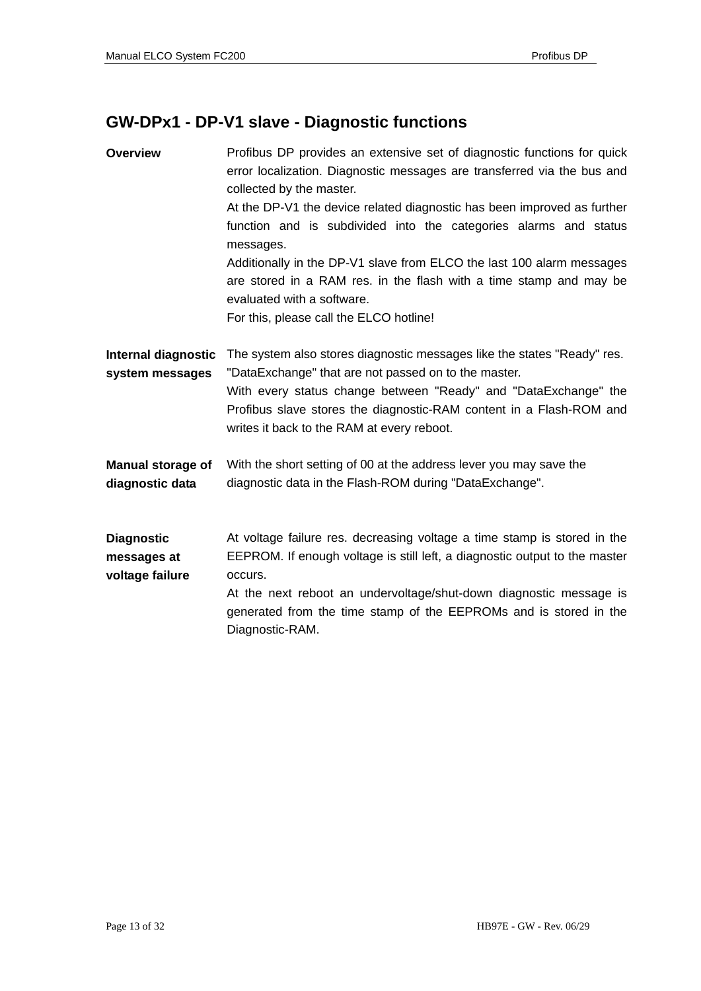## **GW-DPx1 - DP-V1 slave - Diagnostic functions**

| <b>Overview</b>                                     | Profibus DP provides an extensive set of diagnostic functions for quick<br>error localization. Diagnostic messages are transferred via the bus and<br>collected by the master.<br>At the DP-V1 the device related diagnostic has been improved as further<br>function and is subdivided into the categories alarms and status<br>messages.<br>Additionally in the DP-V1 slave from ELCO the last 100 alarm messages<br>are stored in a RAM res. in the flash with a time stamp and may be<br>evaluated with a software.<br>For this, please call the ELCO hotline! |  |
|-----------------------------------------------------|--------------------------------------------------------------------------------------------------------------------------------------------------------------------------------------------------------------------------------------------------------------------------------------------------------------------------------------------------------------------------------------------------------------------------------------------------------------------------------------------------------------------------------------------------------------------|--|
| <b>Internal diagnostic</b><br>system messages       | The system also stores diagnostic messages like the states "Ready" res.<br>"DataExchange" that are not passed on to the master.<br>With every status change between "Ready" and "DataExchange" the<br>Profibus slave stores the diagnostic-RAM content in a Flash-ROM and<br>writes it back to the RAM at every reboot.                                                                                                                                                                                                                                            |  |
| <b>Manual storage of</b><br>diagnostic data         | With the short setting of 00 at the address lever you may save the<br>diagnostic data in the Flash-ROM during "DataExchange".                                                                                                                                                                                                                                                                                                                                                                                                                                      |  |
| <b>Diagnostic</b><br>messages at<br>voltage failure | At voltage failure res. decreasing voltage a time stamp is stored in the<br>EEPROM. If enough voltage is still left, a diagnostic output to the master<br>occurs.<br>At the next reboot an undervoltage/shut-down diagnostic message is<br>generated from the time stamp of the EEPROMs and is stored in the<br>Diagnostic-RAM.                                                                                                                                                                                                                                    |  |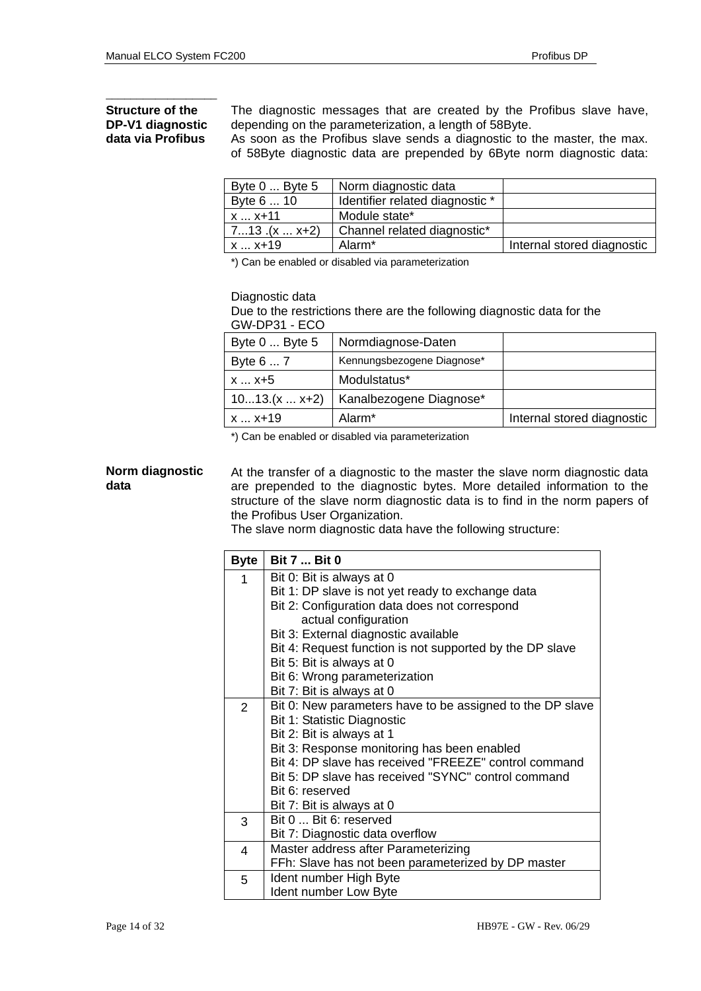\_\_\_\_\_\_\_\_\_\_\_\_\_\_\_\_\_\_

**Structure of the** The diagnostic messages that are created by the Profibus slave have,<br>**DP-V1 diagnostic** depending on the parameterization, a length of 58Byte. depending on the parameterization, a length of 58Byte.

**data via Profibus** As soon as the Profibus slave sends a diagnostic to the master, the max. of 58Byte diagnostic data are prepended by 6Byte norm diagnostic data:

| Byte $0 \dots$ Byte $5$ | Norm diagnostic data            |                            |
|-------------------------|---------------------------------|----------------------------|
| Byte 6  10              | Identifier related diagnostic * |                            |
| $x - x + 11$            | Module state*                   |                            |
| $713.(x  x+2)$          | Channel related diagnostic*     |                            |
| l x  x+19               | Alarm*                          | Internal stored diagnostic |

\*) Can be enabled or disabled via parameterization

Diagnostic data

Due to the restrictions there are the following diagnostic data for the GW-DP31 - ECO

| Byte 0  Byte 5  | Normdiagnose-Daten         |                            |
|-----------------|----------------------------|----------------------------|
| Byte 6  7       | Kennungsbezogene Diagnose* |                            |
| x  x+5          | Modulstatus*               |                            |
| $1013.(x  x+2)$ | Kanalbezogene Diagnose*    |                            |
| x  x+19         | Alarm <sup>*</sup>         | Internal stored diagnostic |

\*) Can be enabled or disabled via parameterization

### **Norm diagnostic data**

At the transfer of a diagnostic to the master the slave norm diagnostic data are prepended to the diagnostic bytes. More detailed information to the structure of the slave norm diagnostic data is to find in the norm papers of the Profibus User Organization.

The slave norm diagnostic data have the following structure:

| <b>Byte</b>    | <b>Bit 7  Bit 0</b>                                       |
|----------------|-----------------------------------------------------------|
| 1              | Bit 0: Bit is always at 0                                 |
|                | Bit 1: DP slave is not yet ready to exchange data         |
|                | Bit 2: Configuration data does not correspond             |
|                | actual configuration                                      |
|                | Bit 3: External diagnostic available                      |
|                | Bit 4: Request function is not supported by the DP slave  |
|                | Bit 5: Bit is always at 0                                 |
|                | Bit 6: Wrong parameterization                             |
|                | Bit 7: Bit is always at 0                                 |
| $\overline{2}$ | Bit 0: New parameters have to be assigned to the DP slave |
|                | Bit 1: Statistic Diagnostic                               |
|                | Bit 2: Bit is always at 1                                 |
|                | Bit 3: Response monitoring has been enabled               |
|                | Bit 4: DP slave has received "FREEZE" control command     |
|                | Bit 5: DP slave has received "SYNC" control command       |
|                | Bit 6: reserved                                           |
|                | Bit 7: Bit is always at 0                                 |
| 3              | Bit 0  Bit 6: reserved                                    |
|                | Bit 7: Diagnostic data overflow                           |
| 4              | Master address after Parameterizing                       |
|                | FFh: Slave has not been parameterized by DP master        |
| 5              | Ident number High Byte                                    |
|                | Ident number Low Byte                                     |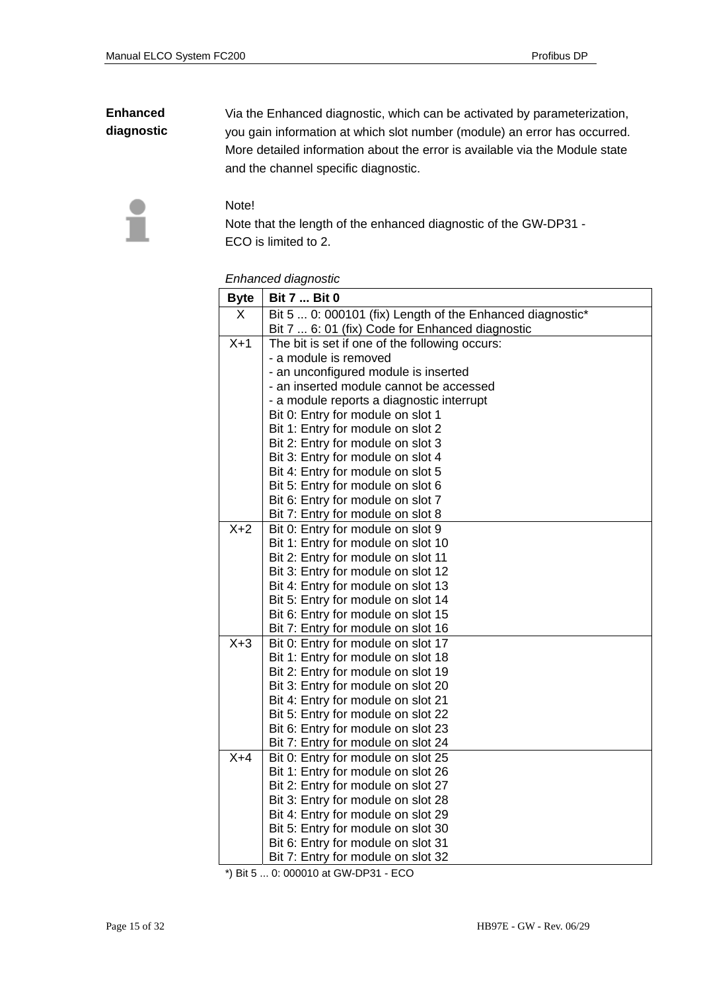### **Enhanced diagnostic**

Via the Enhanced diagnostic, which can be activated by parameterization, you gain information at which slot number (module) an error has occurred. More detailed information about the error is available via the Module state and the channel specific diagnostic.



Note!

Note that the length of the enhanced diagnostic of the GW-DP31 - ECO is limited to 2.

| <b>Byte</b> | <b>Bit 7  Bit 0</b>                                                      |
|-------------|--------------------------------------------------------------------------|
| X           | Bit 5  0: 000101 (fix) Length of the Enhanced diagnostic*                |
|             | Bit 7  6: 01 (fix) Code for Enhanced diagnostic                          |
| $X+1$       | The bit is set if one of the following occurs:                           |
|             | - a module is removed                                                    |
|             | - an unconfigured module is inserted                                     |
|             | - an inserted module cannot be accessed                                  |
|             | - a module reports a diagnostic interrupt                                |
|             | Bit 0: Entry for module on slot 1                                        |
|             | Bit 1: Entry for module on slot 2                                        |
|             | Bit 2: Entry for module on slot 3                                        |
|             | Bit 3: Entry for module on slot 4                                        |
|             | Bit 4: Entry for module on slot 5                                        |
|             | Bit 5: Entry for module on slot 6                                        |
|             | Bit 6: Entry for module on slot 7                                        |
|             | Bit 7: Entry for module on slot 8                                        |
| $X+2$       | Bit 0: Entry for module on slot 9                                        |
|             | Bit 1: Entry for module on slot 10                                       |
|             | Bit 2: Entry for module on slot 11                                       |
|             | Bit 3: Entry for module on slot 12                                       |
|             | Bit 4: Entry for module on slot 13                                       |
|             | Bit 5: Entry for module on slot 14                                       |
|             | Bit 6: Entry for module on slot 15                                       |
|             | Bit 7: Entry for module on slot 16                                       |
| $X+3$       | Bit 0: Entry for module on slot 17                                       |
|             | Bit 1: Entry for module on slot 18                                       |
|             | Bit 2: Entry for module on slot 19                                       |
|             | Bit 3: Entry for module on slot 20<br>Bit 4: Entry for module on slot 21 |
|             | Bit 5: Entry for module on slot 22                                       |
|             | Bit 6: Entry for module on slot 23                                       |
|             | Bit 7: Entry for module on slot 24                                       |
| $X+4$       | Bit 0: Entry for module on slot 25                                       |
|             | Bit 1: Entry for module on slot 26                                       |
|             | Bit 2: Entry for module on slot 27                                       |
|             | Bit 3: Entry for module on slot 28                                       |
|             | Bit 4: Entry for module on slot 29                                       |
|             | Bit 5: Entry for module on slot 30                                       |
|             | Bit 6: Entry for module on slot 31                                       |
|             | Bit 7: Entry for module on slot 32                                       |

\*) Bit 5 ... 0: 000010 at GW-DP31 - ECO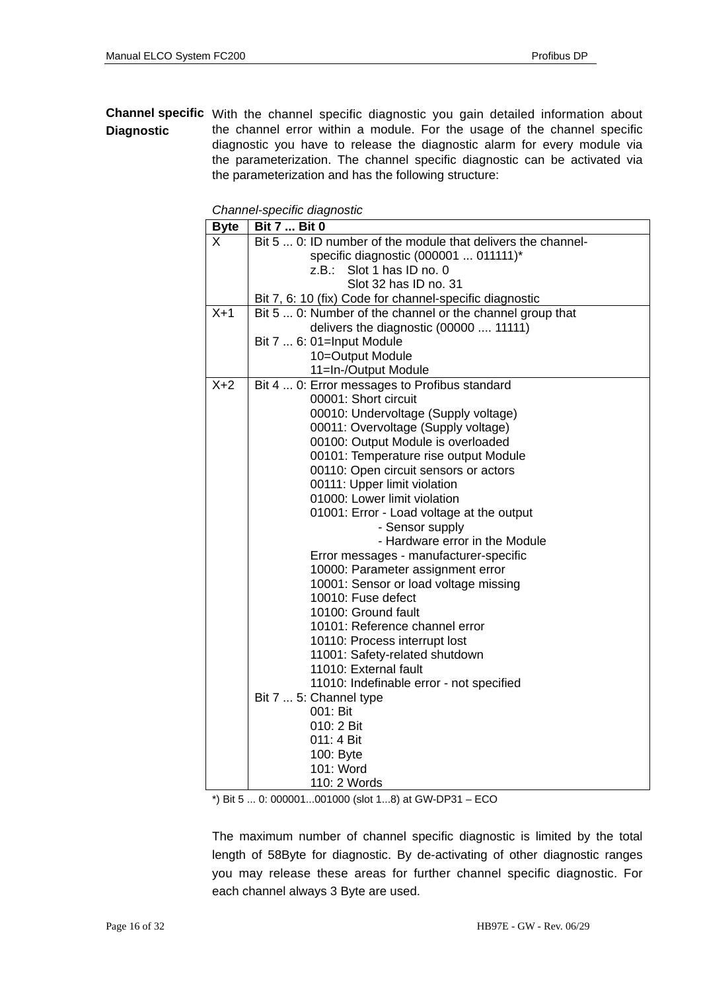### **Channel specific**  With the channel specific diagnostic you gain detailed information about **Diagnostic**  the channel error within a module. For the usage of the channel specific diagnostic you have to release the diagnostic alarm for every module via the parameterization. The channel specific diagnostic can be activated via the parameterization and has the following structure:

| <b>Byte</b> | <b>Bit 7  Bit 0</b>                                          |
|-------------|--------------------------------------------------------------|
| X           | Bit 5  0: ID number of the module that delivers the channel- |
|             | specific diagnostic (000001  011111)*                        |
|             | Slot 1 has ID no. 0<br>z.B.:                                 |
|             | Slot 32 has ID no. 31                                        |
|             | Bit 7, 6: 10 (fix) Code for channel-specific diagnostic      |
| $X+1$       | Bit 5  0: Number of the channel or the channel group that    |
|             | delivers the diagnostic (00000  11111)                       |
|             | Bit 7  6: 01=Input Module                                    |
|             | 10=Output Module                                             |
|             | 11=In-/Output Module                                         |
| $X+2$       | Bit 4  0: Error messages to Profibus standard                |
|             | 00001: Short circuit                                         |
|             | 00010: Undervoltage (Supply voltage)                         |
|             | 00011: Overvoltage (Supply voltage)                          |
|             | 00100: Output Module is overloaded                           |
|             | 00101: Temperature rise output Module                        |
|             | 00110: Open circuit sensors or actors                        |
|             | 00111: Upper limit violation                                 |
|             | 01000: Lower limit violation                                 |
|             | 01001: Error - Load voltage at the output                    |
|             | - Sensor supply                                              |
|             | - Hardware error in the Module                               |
|             | Error messages - manufacturer-specific                       |
|             | 10000: Parameter assignment error                            |
|             | 10001: Sensor or load voltage missing                        |
|             | 10010: Fuse defect                                           |
|             | 10100: Ground fault                                          |
|             | 10101: Reference channel error                               |
|             | 10110: Process interrupt lost                                |
|             | 11001: Safety-related shutdown                               |
|             | 11010: External fault                                        |
|             | 11010: Indefinable error - not specified                     |
|             | Bit 7  5: Channel type                                       |
|             | 001: Bit                                                     |
|             | 010: 2 Bit                                                   |
|             | 011: 4 Bit                                                   |
|             | 100: Byte                                                    |
|             | 101: Word                                                    |
|             | 110: 2 Words                                                 |

*Channel-specific diagnostic* 

\*) Bit 5 ... 0: 000001...001000 (slot 1...8) at GW-DP31 – ECO

The maximum number of channel specific diagnostic is limited by the total length of 58Byte for diagnostic. By de-activating of other diagnostic ranges you may release these areas for further channel specific diagnostic. For each channel always 3 Byte are used.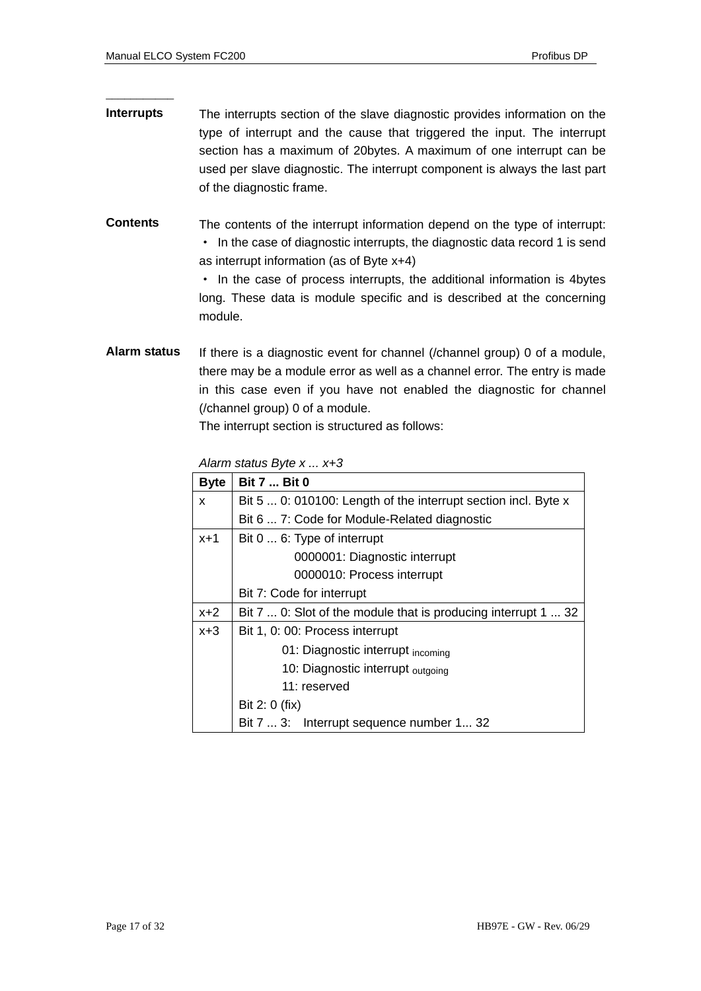\_\_\_\_\_\_\_\_\_\_\_

- **Interrupts**  The interrupts section of the slave diagnostic provides information on the type of interrupt and the cause that triggered the input. The interrupt section has a maximum of 20bytes. A maximum of one interrupt can be used per slave diagnostic. The interrupt component is always the last part of the diagnostic frame.
- **Contents**  The contents of the interrupt information depend on the type of interrupt: · In the case of diagnostic interrupts, the diagnostic data record 1 is send as interrupt information (as of Byte x+4)

· In the case of process interrupts, the additional information is 4bytes long. These data is module specific and is described at the concerning module.

**Alarm status**  If there is a diagnostic event for channel (/channel group) 0 of a module, there may be a module error as well as a channel error. The entry is made in this case even if you have not enabled the diagnostic for channel (/channel group) 0 of a module.

The interrupt section is structured as follows:

*Alarm status Byte x ... x+3* 

| <b>Byte</b> | <b>Bit 7  Bit 0</b>                                            |
|-------------|----------------------------------------------------------------|
| X           | Bit 5  0: 010100: Length of the interrupt section incl. Byte x |
|             | Bit 6  7: Code for Module-Related diagnostic                   |
| $x+1$       | Bit 0  6: Type of interrupt                                    |
|             | 0000001: Diagnostic interrupt                                  |
|             | 0000010: Process interrupt                                     |
|             | Bit 7: Code for interrupt                                      |
| $x+2$       | Bit 7  0: Slot of the module that is producing interrupt 1  32 |
| $x + 3$     | Bit 1, 0: 00: Process interrupt                                |
|             | 01: Diagnostic interrupt incoming                              |
|             | 10: Diagnostic interrupt <sub>outgoing</sub>                   |
|             | 11: reserved                                                   |
|             | Bit 2: 0 (fix)                                                 |
|             | Bit 7  3: Interrupt sequence number 1 32                       |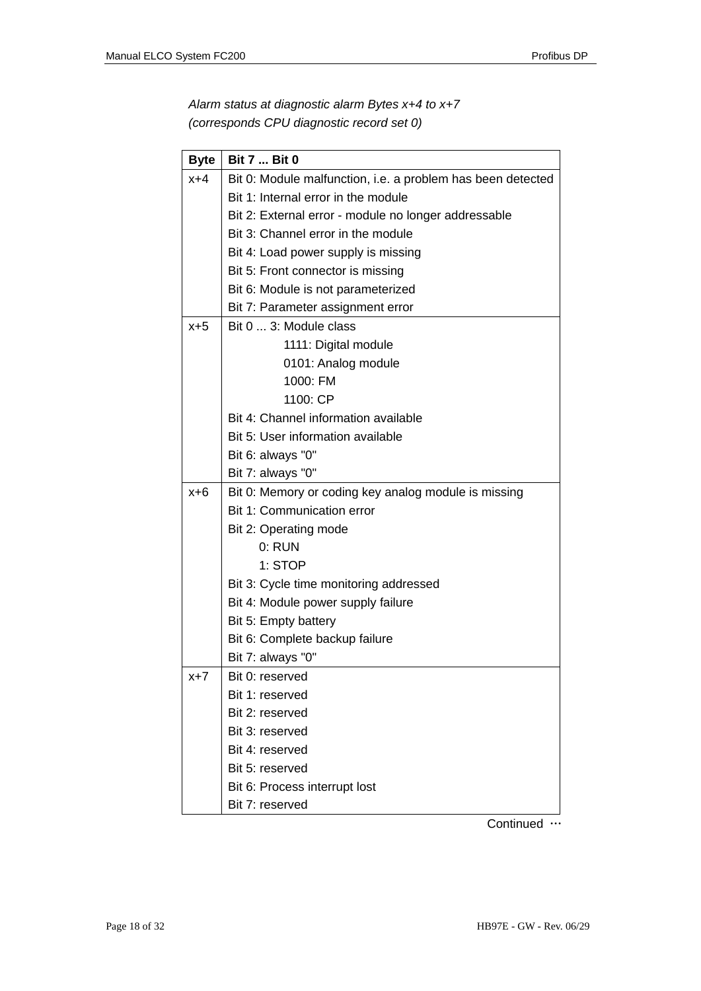*Alarm status at diagnostic alarm Bytes x+4 to x+7 (corresponds CPU diagnostic record set 0)* 

| <b>Byte</b> | <b>Bit 7  Bit 0</b>                                         |
|-------------|-------------------------------------------------------------|
| $x+4$       | Bit 0: Module malfunction, i.e. a problem has been detected |
|             | Bit 1: Internal error in the module                         |
|             | Bit 2: External error - module no longer addressable        |
|             | Bit 3: Channel error in the module                          |
|             | Bit 4: Load power supply is missing                         |
|             | Bit 5: Front connector is missing                           |
|             | Bit 6: Module is not parameterized                          |
|             | Bit 7: Parameter assignment error                           |
| $x+5$       | Bit 0  3: Module class                                      |
|             | 1111: Digital module                                        |
|             | 0101: Analog module                                         |
|             | 1000: FM                                                    |
|             | 1100: CP                                                    |
|             | Bit 4: Channel information available                        |
|             | Bit 5: User information available                           |
|             | Bit 6: always "0"                                           |
|             | Bit 7: always "0"                                           |
| x+6         | Bit 0: Memory or coding key analog module is missing        |
|             | Bit 1: Communication error                                  |
|             | Bit 2: Operating mode                                       |
|             | $0:$ RUN                                                    |
|             | 1: STOP                                                     |
|             | Bit 3: Cycle time monitoring addressed                      |
|             | Bit 4: Module power supply failure                          |
|             | Bit 5: Empty battery                                        |
|             | Bit 6: Complete backup failure                              |
|             | Bit 7: always "0"                                           |
| $x+7$       | Bit 0: reserved                                             |
|             | Bit 1: reserved                                             |
|             | Bit 2: reserved                                             |
|             | Bit 3: reserved                                             |
|             | Bit 4: reserved                                             |
|             | Bit 5: reserved                                             |
|             | Bit 6: Process interrupt lost                               |
|             | Bit 7: reserved                                             |

Continued …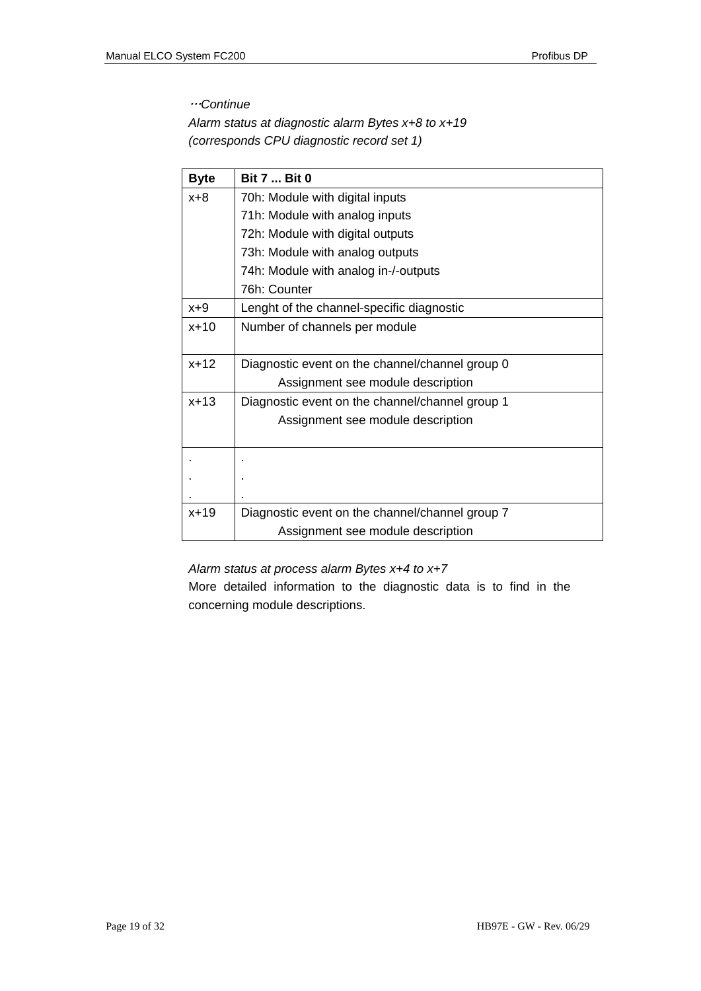### …*Continue*

*Alarm status at diagnostic alarm Bytes x+8 to x+19 (corresponds CPU diagnostic record set 1)* 

| <b>Byte</b> | <b>Bit 7  Bit 0</b>                             |
|-------------|-------------------------------------------------|
| x+8         | 70h: Module with digital inputs                 |
|             | 71h: Module with analog inputs                  |
|             | 72h: Module with digital outputs                |
|             | 73h: Module with analog outputs                 |
|             | 74h: Module with analog in-/-outputs            |
|             | 76h: Counter                                    |
| $x+9$       | Lenght of the channel-specific diagnostic       |
| $x + 10$    | Number of channels per module                   |
|             |                                                 |
| $x+12$      | Diagnostic event on the channel/channel group 0 |
|             | Assignment see module description               |
| $x + 13$    | Diagnostic event on the channel/channel group 1 |
|             | Assignment see module description               |
|             |                                                 |
|             |                                                 |
|             |                                                 |
|             |                                                 |
| $x + 19$    | Diagnostic event on the channel/channel group 7 |
|             | Assignment see module description               |

### *Alarm status at process alarm Bytes x+4 to x+7*

More detailed information to the diagnostic data is to find in the concerning module descriptions.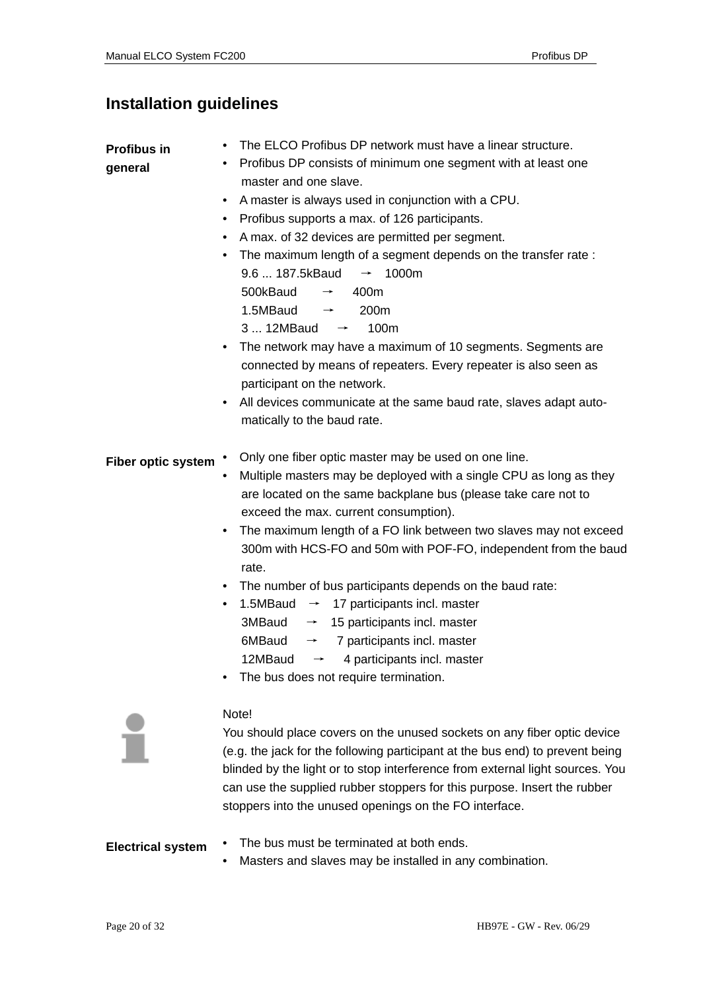## **Installation guidelines**

| <b>Profibus in</b><br>general | The ELCO Profibus DP network must have a linear structure.<br>• Profibus DP consists of minimum one segment with at least one<br>master and one slave.<br>A master is always used in conjunction with a CPU.<br>• Profibus supports a max. of 126 participants.<br>A max. of 32 devices are permitted per segment.<br>The maximum length of a segment depends on the transfer rate:<br>9.6  187.5kBaud $\rightarrow$ 1000m<br>500kBaud<br>400m<br>$\rightarrow$<br>1.5MBaud<br>200 <sub>m</sub><br>$\rightarrow$<br>3  12MBaud $\rightarrow$<br>100m<br>The network may have a maximum of 10 segments. Segments are<br>$\bullet$<br>connected by means of repeaters. Every repeater is also seen as<br>participant on the network.<br>All devices communicate at the same baud rate, slaves adapt auto-<br>$\bullet$<br>matically to the baud rate. |
|-------------------------------|-----------------------------------------------------------------------------------------------------------------------------------------------------------------------------------------------------------------------------------------------------------------------------------------------------------------------------------------------------------------------------------------------------------------------------------------------------------------------------------------------------------------------------------------------------------------------------------------------------------------------------------------------------------------------------------------------------------------------------------------------------------------------------------------------------------------------------------------------------|
| <b>Fiber optic system</b>     | Only one fiber optic master may be used on one line.<br>Multiple masters may be deployed with a single CPU as long as they<br>are located on the same backplane bus (please take care not to<br>exceed the max. current consumption).<br>The maximum length of a FO link between two slaves may not exceed<br>$\bullet$<br>300m with HCS-FO and 50m with POF-FO, independent from the baud<br>rate.<br>• The number of bus participants depends on the baud rate:<br>1.5MBaud $\rightarrow$ 17 participants incl. master<br>٠<br>3MBaud<br>$\rightarrow$ 15 participants incl. master<br>6MBaud<br>$\rightarrow$ 7 participants incl. master<br>12MBaud<br>4 participants incl. master<br>$\rightarrow$<br>The bus does not require termination.                                                                                                    |
|                               | Note!<br>You should place covers on the unused sockets on any fiber optic device<br>(e.g. the jack for the following participant at the bus end) to prevent being<br>blinded by the light or to stop interference from external light sources. You<br>can use the supplied rubber stoppers for this purpose. Insert the rubber<br>stoppers into the unused openings on the FO interface.                                                                                                                                                                                                                                                                                                                                                                                                                                                            |

- The bus must be terminated at both ends. **Electrical system** 
	- Masters and slaves may be installed in any combination.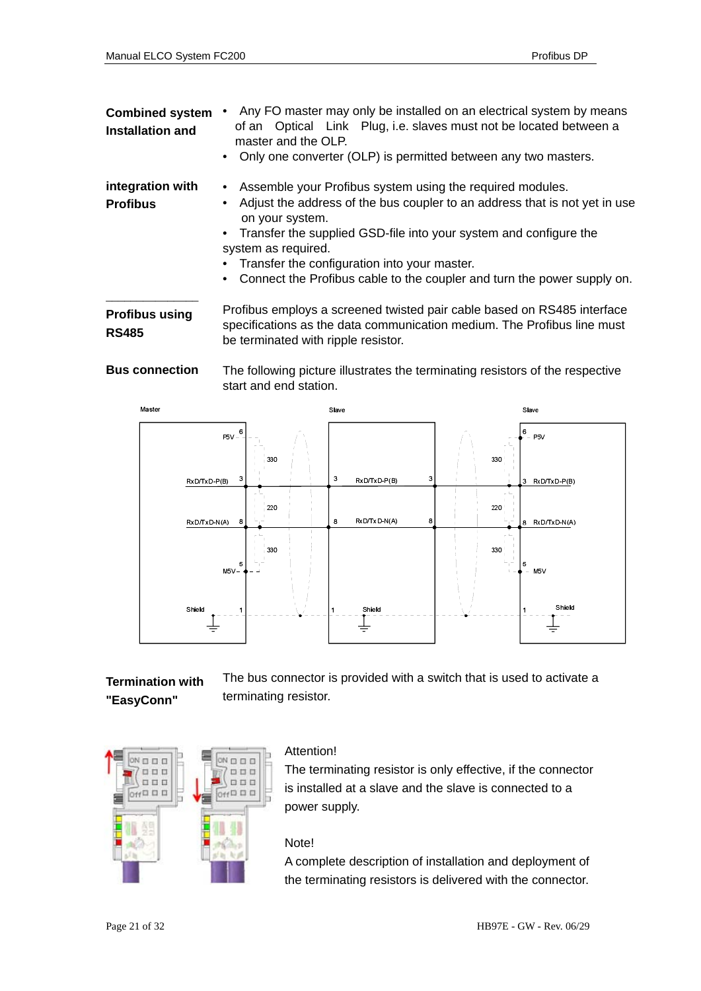| <b>Combined system</b><br><b>Installation and</b> | Any FO master may only be installed on an electrical system by means<br>of an Optical Link Plug, i.e. slaves must not be located between a<br>master and the OLP.<br>Only one converter (OLP) is permitted between any two masters.<br>$\bullet$                                                                                                                                                                                      |  |
|---------------------------------------------------|---------------------------------------------------------------------------------------------------------------------------------------------------------------------------------------------------------------------------------------------------------------------------------------------------------------------------------------------------------------------------------------------------------------------------------------|--|
| integration with<br><b>Profibus</b>               | Assemble your Profibus system using the required modules.<br>$\bullet$<br>Adjust the address of the bus coupler to an address that is not yet in use<br>$\bullet$<br>on your system.<br>Transfer the supplied GSD-file into your system and configure the<br>$\bullet$<br>system as required.<br>Transfer the configuration into your master.<br>Connect the Profibus cable to the coupler and turn the power supply on.<br>$\bullet$ |  |
| <b>Profibus using</b><br><b>RS485</b>             | Profibus employs a screened twisted pair cable based on RS485 interface<br>specifications as the data communication medium. The Profibus line must<br>be terminated with ripple resistor.                                                                                                                                                                                                                                             |  |
| <b>Bus connection</b>                             | The following picture illustrates the terminating resistors of the respective                                                                                                                                                                                                                                                                                                                                                         |  |



**Termination with** The bus connector is provided with a switch that is used to activate a terminating resistor. **"EasyConn"** 



### Attention!

The terminating resistor is only effective, if the connector is installed at a slave and the slave is connected to a power supply.

### Note!

A complete description of installation and deployment of the terminating resistors is delivered with the connector.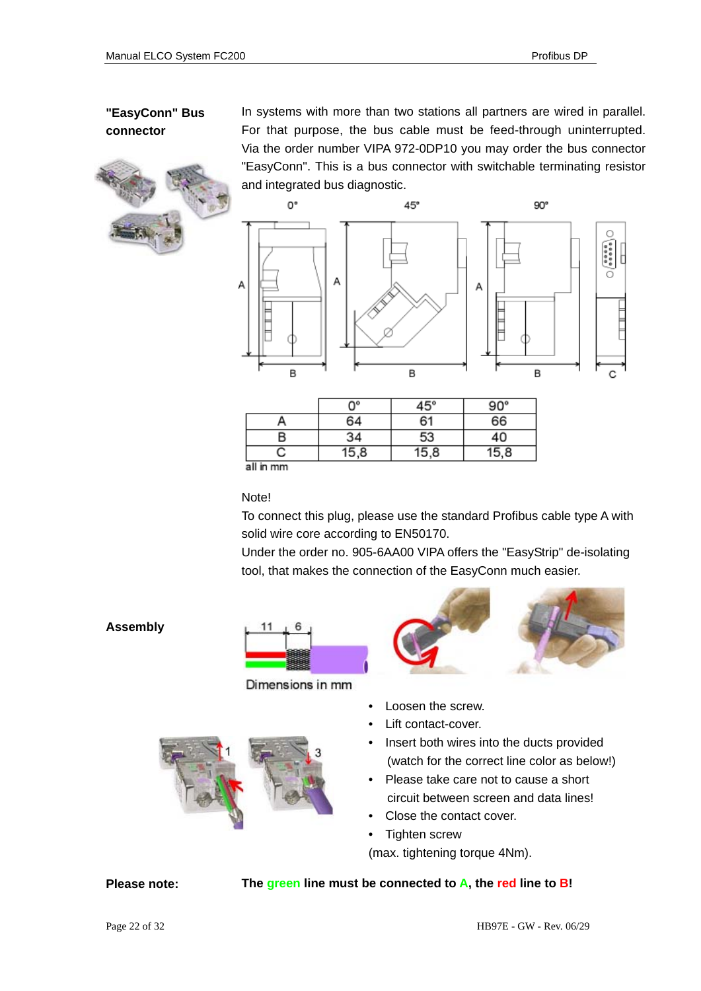

**"EasyConn" Bus** In systems with more than two stations all partners are wired in parallel. **connector** For that purpose, the bus cable must be feed-through uninterrupted. Via the order number VIPA 972-0DP10 you may order the bus connector "EasyConn". This is a bus connector with switchable terminating resistor and integrated bus diagnostic.



|           | Ω° | 45°  | 90° |
|-----------|----|------|-----|
|           | 64 | 61   | 66  |
|           | 34 | 53   | 40  |
|           | 8  | 15,8 | .8  |
| all in mm |    |      |     |

all in mm

Note!

To connect this plug, please use the standard Profibus cable type A with solid wire core according to EN50170.

Under the order no. 905-6AA00 VIPA offers the "EasyStrip" de-isolating tool, that makes the connection of the EasyConn much easier.



Dimensions in mm



- Loosen the screw.
- Lift contact-cover.
- Insert both wires into the ducts provided (watch for the correct line color as below!)
- Please take care not to cause a short circuit between screen and data lines!
- Close the contact cover.
- Tighten screw

(max. tightening torque 4Nm).

**The green line must be connected to A, the red line to B!**

### **Assembly**



**Please note:**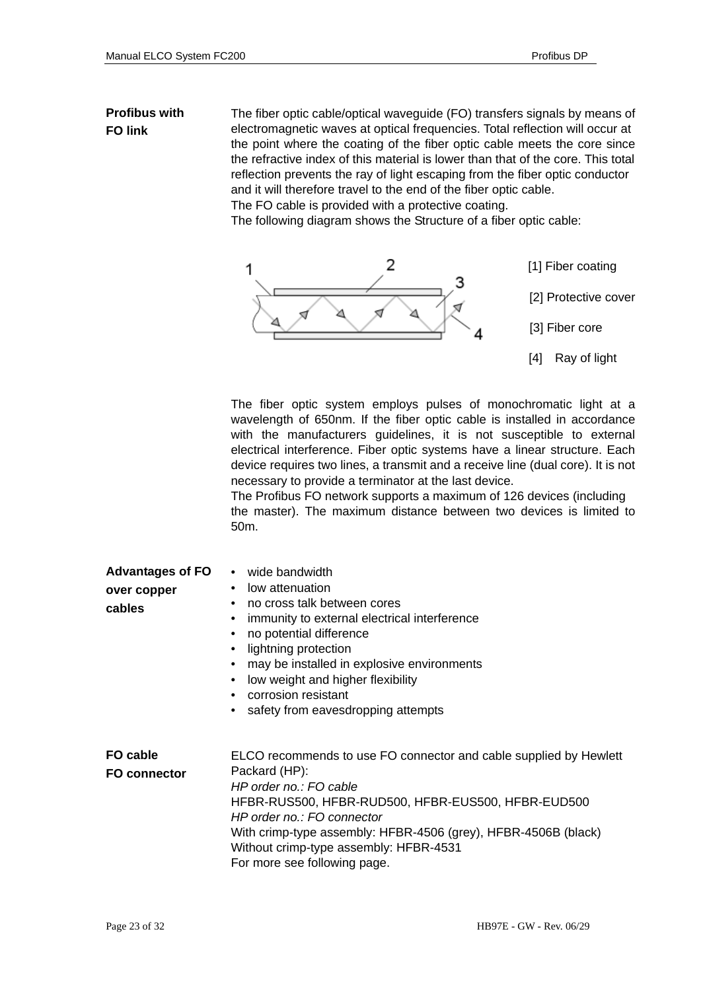### **Profibus with FO link**

The fiber optic cable/optical waveguide (FO) transfers signals by means of electromagnetic waves at optical frequencies. Total reflection will occur at the point where the coating of the fiber optic cable meets the core since the refractive index of this material is lower than that of the core. This total reflection prevents the ray of light escaping from the fiber optic conductor and it will therefore travel to the end of the fiber optic cable. The FO cable is provided with a protective coating.

The following diagram shows the Structure of a fiber optic cable:



The fiber optic system employs pulses of monochromatic light at a wavelength of 650nm. If the fiber optic cable is installed in accordance with the manufacturers guidelines, it is not susceptible to external electrical interference. Fiber optic systems have a linear structure. Each device requires two lines, a transmit and a receive line (dual core). It is not necessary to provide a terminator at the last device.

The Profibus FO network supports a maximum of 126 devices (including the master). The maximum distance between two devices is limited to 50m.

| <b>Advantages of FO</b><br>over copper<br>cables | • wide bandwidth<br>low attenuation<br>٠<br>no cross talk between cores<br>$\bullet$<br>immunity to external electrical interference<br>$\bullet$<br>no potential difference<br>٠<br>lightning protection<br>may be installed in explosive environments<br>low weight and higher flexibility<br>$\bullet$<br>corrosion resistant<br>$\bullet$<br>safety from eavesdropping attempts<br>٠ |
|--------------------------------------------------|------------------------------------------------------------------------------------------------------------------------------------------------------------------------------------------------------------------------------------------------------------------------------------------------------------------------------------------------------------------------------------------|
| FO cable<br><b>FO connector</b>                  | ELCO recommends to use FO connector and cable supplied by Hewlett<br>Packard (HP):<br>HP order no.: FO cable<br>HFBR-RUS500, HFBR-RUD500, HFBR-EUS500, HFBR-EUD500<br>HP order no.: FO connector<br>With crimp-type assembly: HFBR-4506 (grey), HFBR-4506B (black)<br>Without crimp-type assembly: HFBR-4531<br>For more see following page.                                             |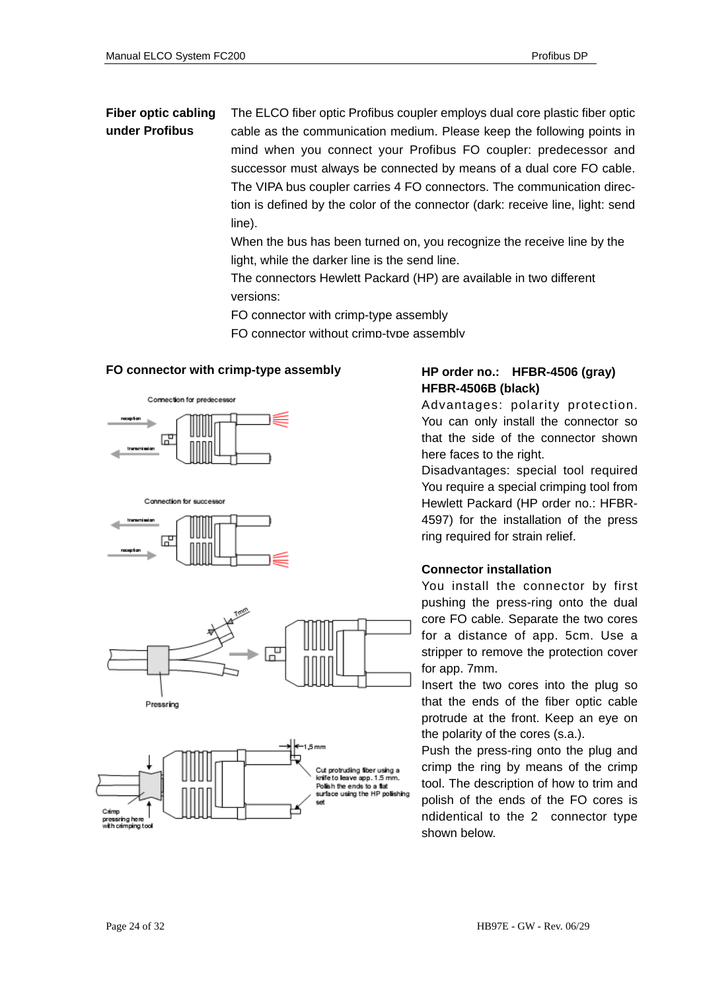### **Fiber optic cabling** The ELCO fiber optic Profibus coupler employs dual core plastic fiber optic **under Profibus** cable as the communication medium. Please keep the following points in mind when you connect your Profibus FO coupler: predecessor and successor must always be connected by means of a dual core FO cable. The VIPA bus coupler carries 4 FO connectors. The communication direction is defined by the color of the connector (dark: receive line, light: send line).

When the bus has been turned on, you recognize the receive line by the light, while the darker line is the send line.

The connectors Hewlett Packard (HP) are available in two different versions:

FO connector with crimp-type assembly

FO connector without crimp-type assembly

### **FO connector with crimp-type assembly HP order no.: HFBR-4506 (gray)**











# **HFBR-4506B (black)**

Advantages: polarity protection. You can only install the connector so that the side of the connector shown here faces to the right.

Disadvantages: special tool required You require a special crimping tool from Hewlett Packard (HP order no.: HFBR-4597) for the installation of the press ring required for strain relief.

### **Connector installation**

You install the connector by first pushing the press-ring onto the dual core FO cable. Separate the two cores for a distance of app. 5cm. Use a stripper to remove the protection cover for app. 7mm.

Insert the two cores into the plug so that the ends of the fiber optic cable protrude at the front. Keep an eye on the polarity of the cores (s.a.).

Push the press-ring onto the plug and crimp the ring by means of the crimp tool. The description of how to trim and polish of the ends of the FO cores is ndidentical to the 2 connector type shown below.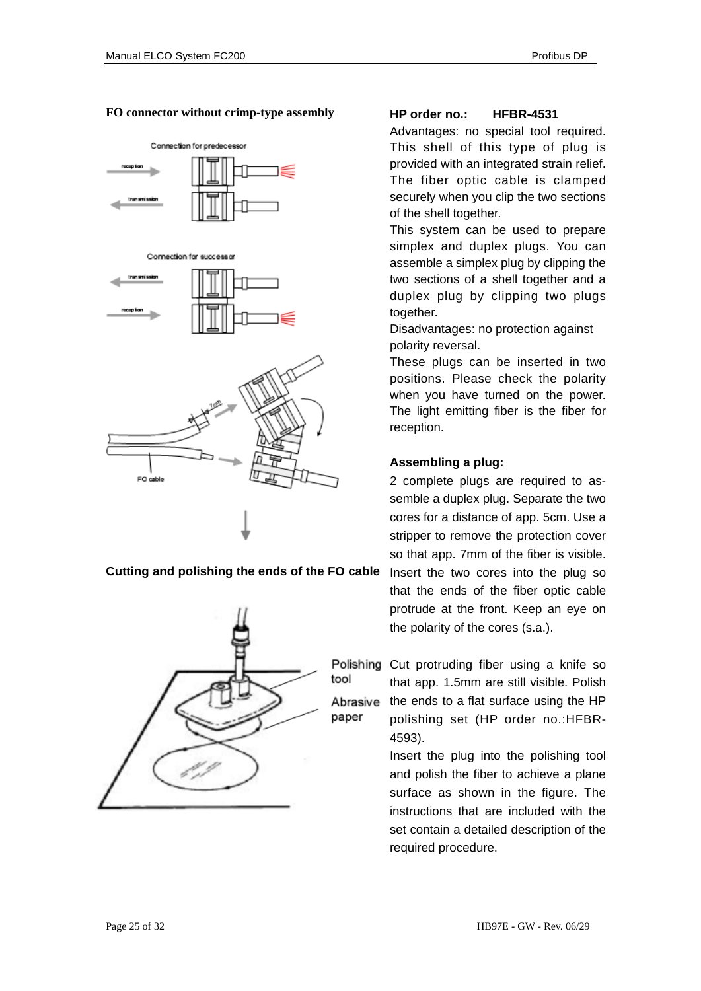### **FO connector without crimp-type assembly**



**Cutting and polishing the ends of the FO cable** 



### **HP order no.: HFBR-4531**

Advantages: no special tool required. This shell of this type of plug is provided with an integrated strain relief. The fiber optic cable is clamped securely when you clip the two sections of the shell together.

This system can be used to prepare simplex and duplex plugs. You can assemble a simplex plug by clipping the two sections of a shell together and a duplex plug by clipping two plugs together.

Disadvantages: no protection against polarity reversal.

These plugs can be inserted in two positions. Please check the polarity when you have turned on the power. The light emitting fiber is the fiber for reception.

### **Assembling a plug:**

2 complete plugs are required to assemble a duplex plug. Separate the two cores for a distance of app. 5cm. Use a stripper to remove the protection cover so that app. 7mm of the fiber is visible. Insert the two cores into the plug so that the ends of the fiber optic cable protrude at the front. Keep an eye on the polarity of the cores (s.a.).

tool Abrasive paper

Polishing Cut protruding fiber using a knife so that app. 1.5mm are still visible. Polish the ends to a flat surface using the HP polishing set (HP order no.:HFBR-4593).

> Insert the plug into the polishing tool and polish the fiber to achieve a plane surface as shown in the figure. The instructions that are included with the set contain a detailed description of the required procedure.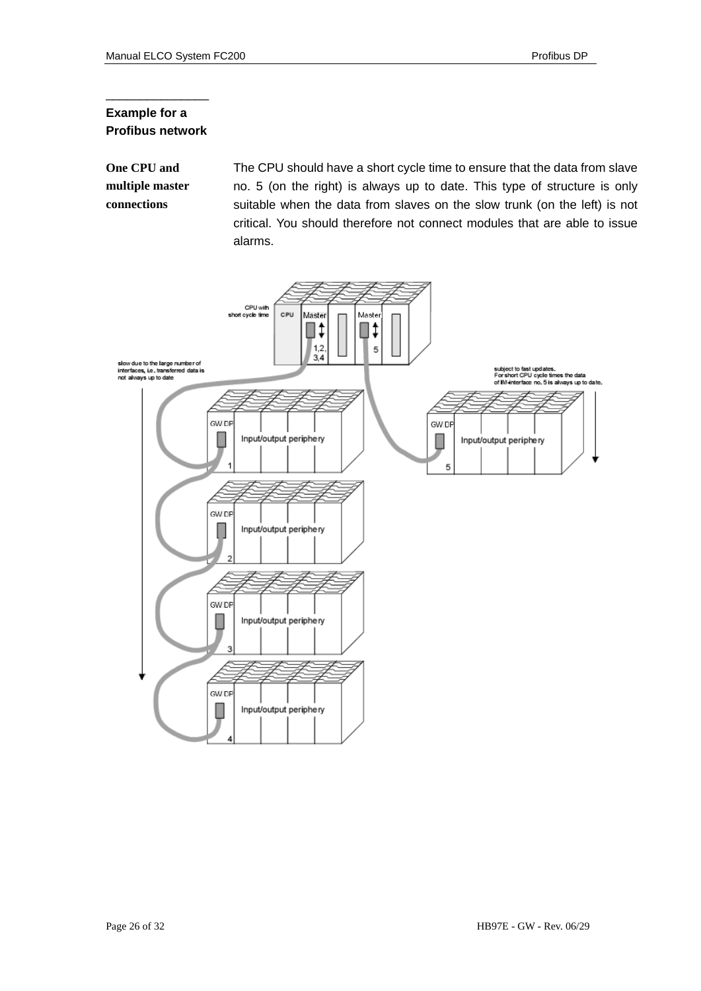### **Example for a Profibus network**

\_\_\_\_\_\_\_\_\_\_\_\_\_\_\_

**One CPU and** The CPU should have a short cycle time to ensure that the data from slave **multiple master** no. 5 (on the right) is always up to date. This type of structure is only **connections** suitable when the data from slaves on the slow trunk (on the left) is not critical. You should therefore not connect modules that are able to issue alarms.

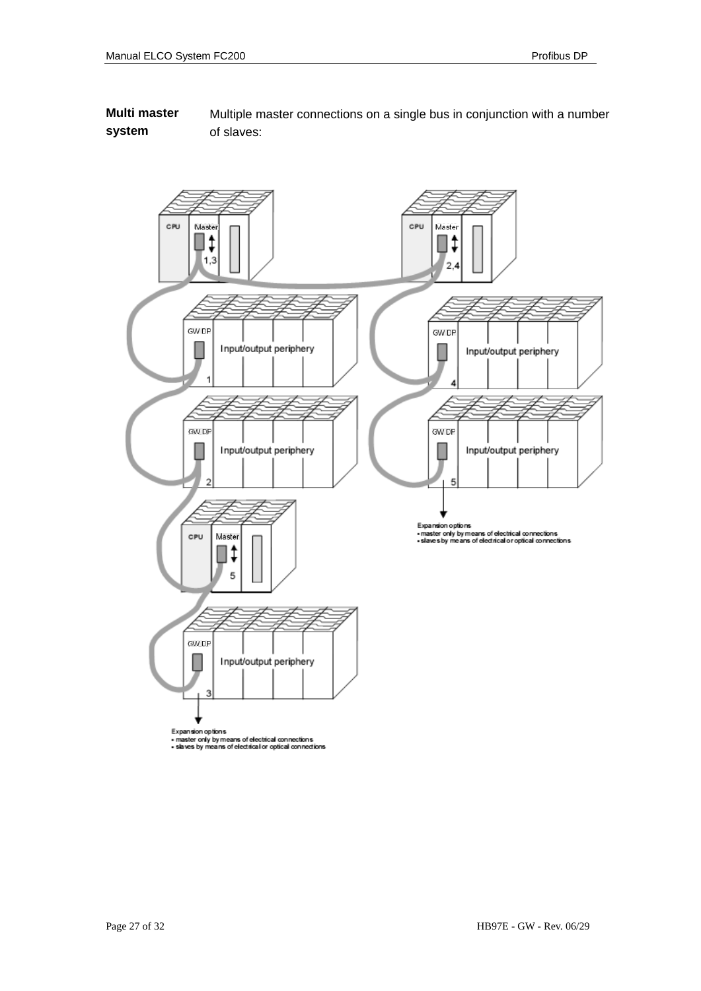**Multi master** Multiple master connections on a single bus in conjunction with a number **system** of slaves:

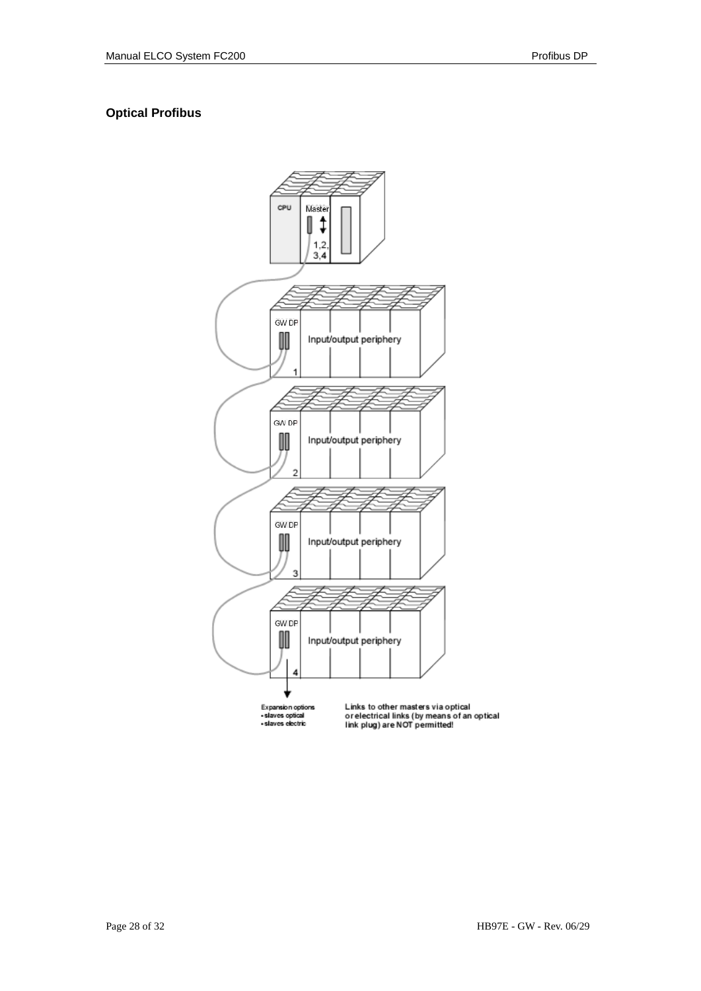### **Optical Profibus**

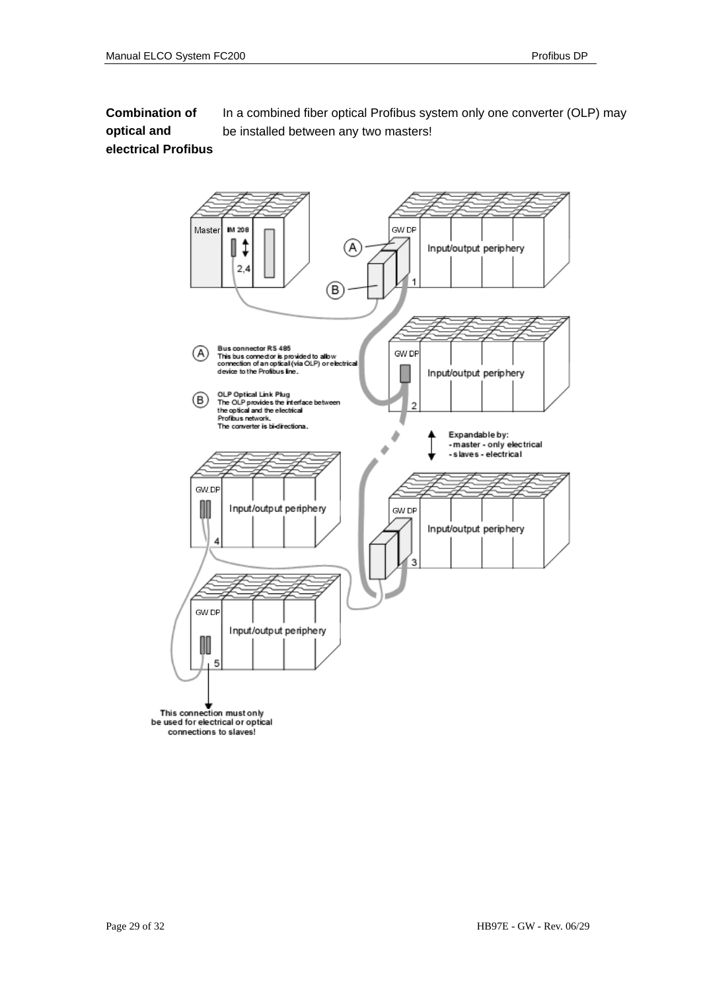**Combination of optical and electrical Profibus**  In a combined fiber optical Profibus system only one converter (OLP) may be installed between any two masters!

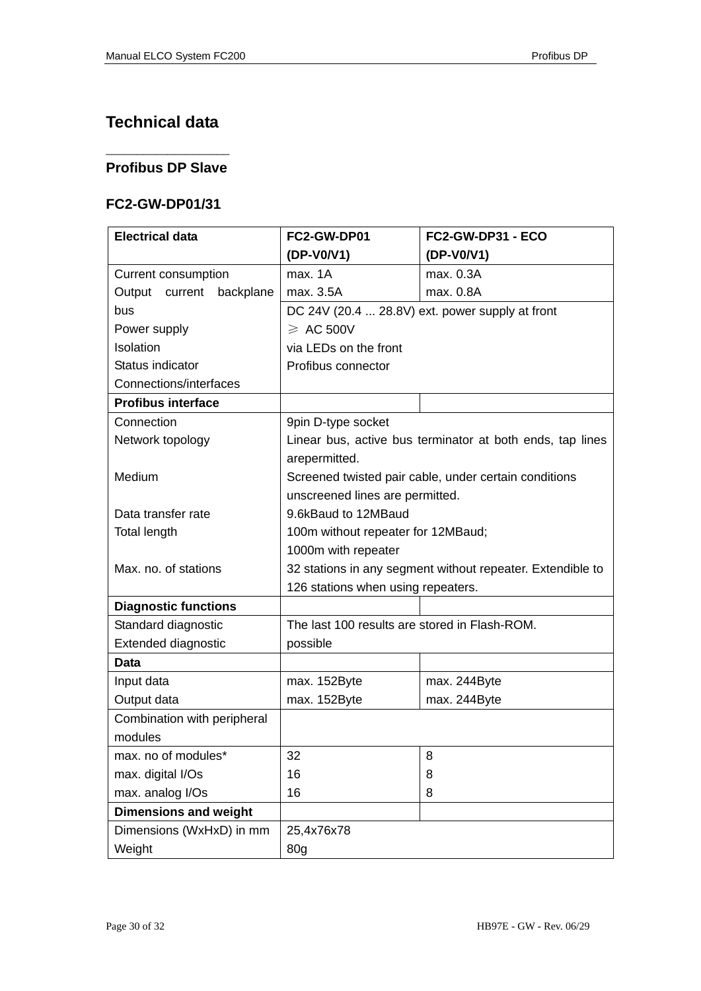## **Technical data**

### \_\_\_\_\_\_\_\_\_\_\_\_\_\_\_\_\_\_\_\_ **Profibus DP Slave**

### **FC2-GW-DP01/31**

| <b>Electrical data</b>       | FC2-GW-DP01                                                | FC2-GW-DP31 - ECO |
|------------------------------|------------------------------------------------------------|-------------------|
|                              | (DP-V0/V1)                                                 | (DP-V0/V1)        |
| Current consumption          | max. 1A                                                    | max. 0.3A         |
| Output<br>current backplane  | max. 3.5A                                                  | max. 0.8A         |
| bus                          | DC 24V (20.4  28.8V) ext. power supply at front            |                   |
| Power supply                 | $\geqslant$ AC 500V                                        |                   |
| Isolation                    | via LEDs on the front                                      |                   |
| Status indicator             | Profibus connector                                         |                   |
| Connections/interfaces       |                                                            |                   |
| <b>Profibus interface</b>    |                                                            |                   |
| Connection                   | 9pin D-type socket                                         |                   |
| Network topology             | Linear bus, active bus terminator at both ends, tap lines  |                   |
|                              | arepermitted.                                              |                   |
| Medium                       | Screened twisted pair cable, under certain conditions      |                   |
|                              | unscreened lines are permitted.                            |                   |
| Data transfer rate           | 9.6kBaud to 12MBaud                                        |                   |
| <b>Total length</b>          | 100m without repeater for 12MBaud;                         |                   |
|                              | 1000m with repeater                                        |                   |
| Max. no. of stations         | 32 stations in any segment without repeater. Extendible to |                   |
|                              | 126 stations when using repeaters.                         |                   |
| <b>Diagnostic functions</b>  |                                                            |                   |
| Standard diagnostic          | The last 100 results are stored in Flash-ROM.              |                   |
| Extended diagnostic          | possible                                                   |                   |
| Data                         |                                                            |                   |
| Input data                   | max. 152Byte                                               | max. 244Byte      |
| Output data                  | max. 152Byte                                               | max. 244Byte      |
| Combination with peripheral  |                                                            |                   |
| modules                      |                                                            |                   |
| max. no of modules*          | 32                                                         | 8                 |
| max. digital I/Os            | 16                                                         | 8                 |
| max. analog I/Os             | 16                                                         | 8                 |
| <b>Dimensions and weight</b> |                                                            |                   |
| Dimensions (WxHxD) in mm     | 25,4x76x78                                                 |                   |
| Weight                       | 80g                                                        |                   |